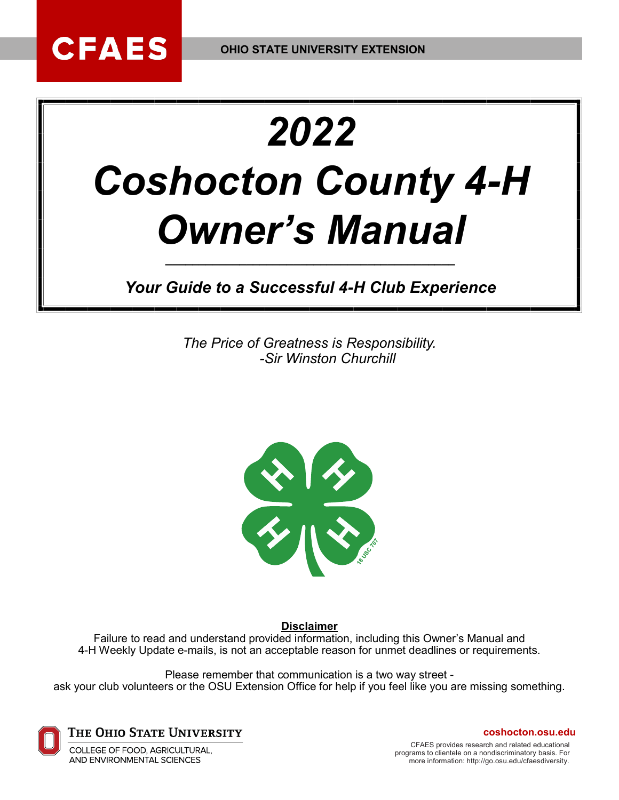# *2022 Coshocton County 4-H Owner's Manual*

*Your Guide to a Successful 4-H Club Experience*

*\_\_\_\_\_\_\_\_\_\_\_\_\_\_\_\_\_\_\_\_\_\_\_\_\_\_\_\_\_\_\_\_\_\_\_\_\_\_\_\_\_\_\_*

*The Price of Greatness is Responsibility. -Sir Winston Churchill*



**Disclaimer**

Failure to read and understand provided information, including this Owner's Manual and 4-H Weekly Update e-mails, is not an acceptable reason for unmet deadlines or requirements.

Please remember that communication is a two way street ask your club volunteers or the OSU Extension Office for help if you feel like you are missing something.



**CFAES** 

The Ohio State University

COLLEGE OF FOOD, AGRICULTURAL, AND ENVIRONMENTAL SCIENCES

**coshocton.osu.edu**

CFAES provides research and related educational programs to clientele on a nondiscriminatory basis. For more information: [http://go.osu.edu/cfaesdiversity.](http://go.osu.edu/cfaesdiversity)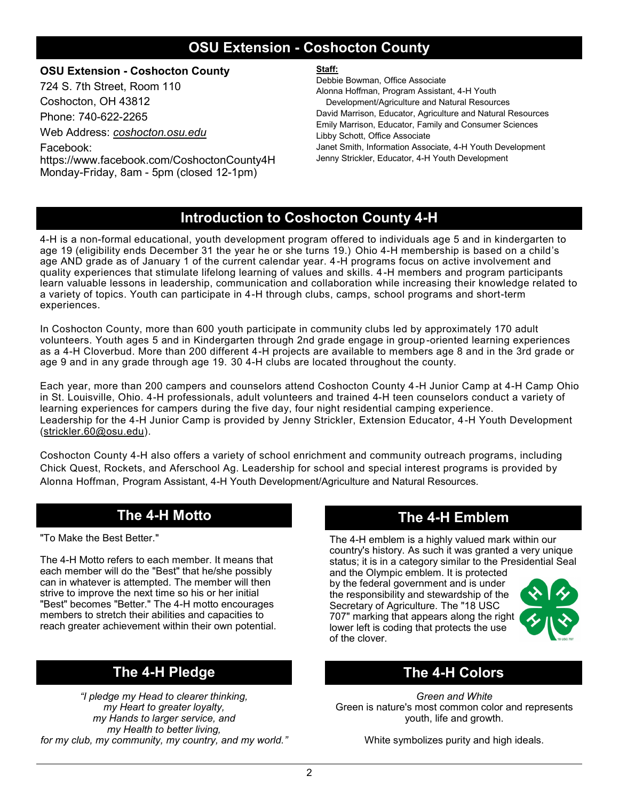### **OSU Extension - Coshocton County**

#### **OSU Extension - Coshocton County**

724 S. 7th Street, Room 110 Coshocton, OH 43812

Phone: 740-622-2265

Web Address: *coshocton.osu.edu*

Facebook: https://www.facebook.com/CoshoctonCounty4H Monday-Friday, 8am - 5pm (closed 12-1pm)

#### **Staff:**

Debbie Bowman, Office Associate Alonna Hoffman, Program Assistant, 4-H Youth Development/Agriculture and Natural Resources David Marrison, Educator, Agriculture and Natural Resources

Emily Marrison, Educator, Family and Consumer Sciences Libby Schott, Office Associate Janet Smith, Information Associate, 4-H Youth Development

Jenny Strickler, Educator, 4-H Youth Development

### **Introduction to Coshocton County 4-H**

4-H is a non-formal educational, youth development program offered to individuals age 5 and in kindergarten to age 19 (eligibility ends December 31 the year he or she turns 19.) Ohio 4-H membership is based on a child's age AND grade as of January 1 of the current calendar year. 4-H programs focus on active involvement and quality experiences that stimulate lifelong learning of values and skills. 4-H members and program participants learn valuable lessons in leadership, communication and collaboration while increasing their knowledge related to a variety of topics. Youth can participate in 4-H through clubs, camps, school programs and short-term experiences.

In Coshocton County, more than 600 youth participate in community clubs led by approximately 170 adult volunteers. Youth ages 5 and in Kindergarten through 2nd grade engage in group -oriented learning experiences as a 4-H Cloverbud. More than 200 different 4-H projects are available to members age 8 and in the 3rd grade or age 9 and in any grade through age 19. 30 4-H clubs are located throughout the county.

Each year, more than 200 campers and counselors attend Coshocton County 4-H Junior Camp at 4-H Camp Ohio in St. Louisville, Ohio. 4-H professionals, adult volunteers and trained 4-H teen counselors conduct a variety of learning experiences for campers during the five day, four night residential camping experience. Leadership for the 4-H Junior Camp is provided by Jenny Strickler, Extension Educator, 4-H Youth Development ([strickler.60@osu.edu\).](mailto:mcconnell.210@osu.edu)

Coshocton County 4-H also offers a variety of school enrichment and community outreach programs, including Chick Quest, Rockets, and Aferschool Ag. Leadership for school and special interest programs is provided by Alonna Hoffman, Program Assistant, 4-H Youth Development/Agriculture and Natural Resources.

### **The 4-H Motto The 4-H Emblem**

"To Make the Best Better."

The 4-H Motto refers to each member. It means that each member will do the "Best" that he/she possibly can in whatever is attempted. The member will then strive to improve the next time so his or her initial "Best" becomes "Better." The 4-H motto encourages members to stretch their abilities and capacities to reach greater achievement within their own potential.

### **The 4-H Pledge The 4-H Colors**

*"I pledge my Head to clearer thinking, my Heart to greater loyalty, my Hands to larger service, and my Health to better living, for my club, my community, my country, and my world."*

The 4-H emblem is a highly valued mark within our country's history. As such it was granted a very unique status; it is in a category similar to the Presidential Seal

and the Olympic emblem. It is protected by the federal government and is under the responsibility and stewardship of the Secretary of Agriculture. The "18 USC 707" marking that appears along the right lower left is coding that protects the use of the clover.



*Green and White* Green is nature's most common color and represents youth, life and growth.

White symbolizes purity and high ideals.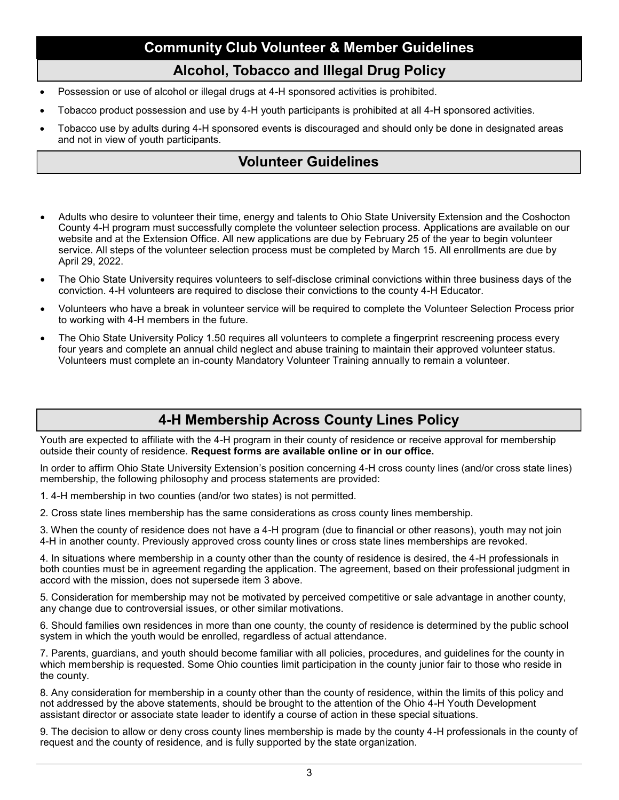### **Community Club Volunteer & Member Guidelines**

#### **Alcohol, Tobacco and Illegal Drug Policy**

- Possession or use of alcohol or illegal drugs at 4-H sponsored activities is prohibited.
- Tobacco product possession and use by 4-H youth participants is prohibited at all 4-H sponsored activities.
- Tobacco use by adults during 4-H sponsored events is discouraged and should only be done in designated areas and not in view of youth participants.

### **Volunteer Guidelines**

- Adults who desire to volunteer their time, energy and talents to Ohio State University Extension and the Coshocton County 4-H program must successfully complete the volunteer selection process. Applications are available on our website and at the Extension Office. All new applications are due by February 25 of the year to begin volunteer service. All steps of the volunteer selection process must be completed by March 15. All enrollments are due by April 29, 2022.
- The Ohio State University requires volunteers to self-disclose criminal convictions within three business days of the conviction. 4-H volunteers are required to disclose their convictions to the county 4-H Educator.
- Volunteers who have a break in volunteer service will be required to complete the Volunteer Selection Process prior to working with 4-H members in the future.
- The Ohio State University Policy 1.50 requires all volunteers to complete a fingerprint rescreening process every four years and complete an annual child neglect and abuse training to maintain their approved volunteer status. Volunteers must complete an in-county Mandatory Volunteer Training annually to remain a volunteer.

### **4-H Membership Across County Lines Policy**

Youth are expected to affiliate with the 4-H program in their county of residence or receive approval for membership outside their county of residence. **Request forms are available online or in our office.** 

In order to affirm Ohio State University Extension's position concerning 4-H cross county lines (and/or cross state lines) membership, the following philosophy and process statements are provided:

1. 4-H membership in two counties (and/or two states) is not permitted.

2. Cross state lines membership has the same considerations as cross county lines membership.

3. When the county of residence does not have a 4-H program (due to financial or other reasons), youth may not join 4-H in another county. Previously approved cross county lines or cross state lines memberships are revoked.

4. In situations where membership in a county other than the county of residence is desired, the 4-H professionals in both counties must be in agreement regarding the application. The agreement, based on their professional judgment in accord with the mission, does not supersede item 3 above.

5. Consideration for membership may not be motivated by perceived competitive or sale advantage in another county, any change due to controversial issues, or other similar motivations.

6. Should families own residences in more than one county, the county of residence is determined by the public school system in which the youth would be enrolled, regardless of actual attendance.

7. Parents, guardians, and youth should become familiar with all policies, procedures, and guidelines for the county in which membership is requested. Some Ohio counties limit participation in the county junior fair to those who reside in the county.

8. Any consideration for membership in a county other than the county of residence, within the limits of this policy and not addressed by the above statements, should be brought to the attention of the Ohio 4-H Youth Development assistant director or associate state leader to identify a course of action in these special situations.

9. The decision to allow or deny cross county lines membership is made by the county 4-H professionals in the county of request and the county of residence, and is fully supported by the state organization.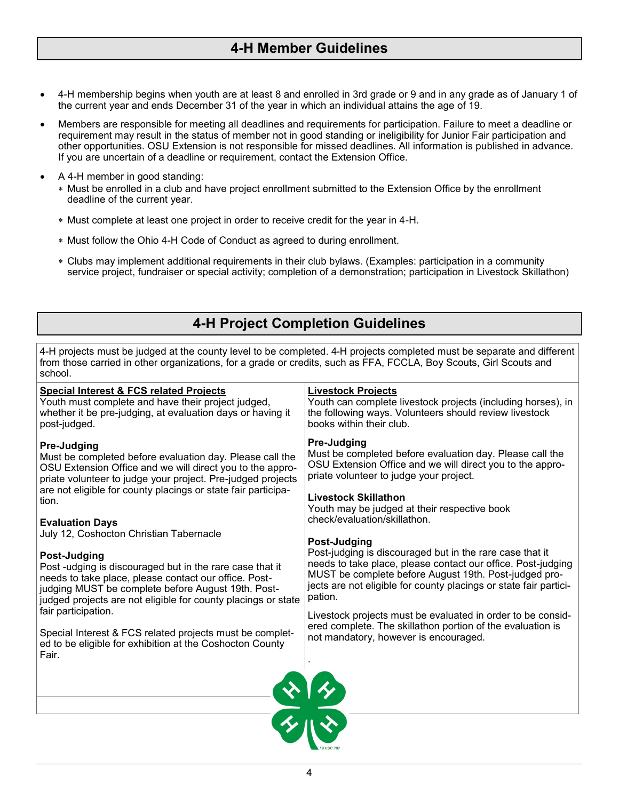### **4-H Member Guidelines**

- 4-H membership begins when youth are at least 8 and enrolled in 3rd grade or 9 and in any grade as of January 1 of the current year and ends December 31 of the year in which an individual attains the age of 19.
- Members are responsible for meeting all deadlines and requirements for participation. Failure to meet a deadline or requirement may result in the status of member not in good standing or ineligibility for Junior Fair participation and other opportunities. OSU Extension is not responsible for missed deadlines. All information is published in advance. If you are uncertain of a deadline or requirement, contact the Extension Office.
- A 4-H member in good standing:
	- Must be enrolled in a club and have project enrollment submitted to the Extension Office by the enrollment deadline of the current year.
	- Must complete at least one project in order to receive credit for the year in 4-H.
	- Must follow the Ohio 4-H Code of Conduct as agreed to during enrollment.
	- Clubs may implement additional requirements in their club bylaws. (Examples: participation in a community service project, fundraiser or special activity; completion of a demonstration; participation in Livestock Skillathon)

### **4-H Project Completion Guidelines**

4-H projects must be judged at the county level to be completed. 4-H projects completed must be separate and different from those carried in other organizations, for a grade or credits, such as FFA, FCCLA, Boy Scouts, Girl Scouts and school.

| <b>Special Interest &amp; FCS related Projects</b>            | <b>Livestock Projects</b>                                         |
|---------------------------------------------------------------|-------------------------------------------------------------------|
| Youth must complete and have their project judged,            | Youth can complete livestock projects (including horses), in      |
| whether it be pre-judging, at evaluation days or having it    | the following ways. Volunteers should review livestock            |
| post-judged.                                                  | books within their club.                                          |
| Pre-Judging                                                   | <b>Pre-Judging</b>                                                |
| Must be completed before evaluation day. Please call the      | Must be completed before evaluation day. Please call the          |
| OSU Extension Office and we will direct you to the appro-     | OSU Extension Office and we will direct you to the appro-         |
| priate volunteer to judge your project. Pre-judged projects   | priate volunteer to judge your project.                           |
| are not eligible for county placings or state fair participa- | <b>Livestock Skillathon</b>                                       |
| tion.                                                         | Youth may be judged at their respective book                      |
| <b>Evaluation Days</b>                                        | check/evaluation/skillathon.                                      |
| July 12, Coshocton Christian Tabernacle                       | Post-Judging                                                      |
| Post-Judging                                                  | Post-judging is discouraged but in the rare case that it          |
| Post -udging is discouraged but in the rare case that it      | needs to take place, please contact our office. Post-judging      |
| needs to take place, please contact our office. Post-         | MUST be complete before August 19th. Post-judged pro-             |
| judging MUST be complete before August 19th. Post-            | jects are not eligible for county placings or state fair partici- |
| judged projects are not eligible for county placings or state | pation.                                                           |
| fair participation.                                           | Livestock projects must be evaluated in order to be consid-       |
| Special Interest & FCS related projects must be complet-      | ered complete. The skillathon portion of the evaluation is        |
| ed to be eligible for exhibition at the Coshocton County      | not mandatory, however is encouraged.                             |
| Fair.                                                         | $\frac{1}{2}$                                                     |
|                                                               |                                                                   |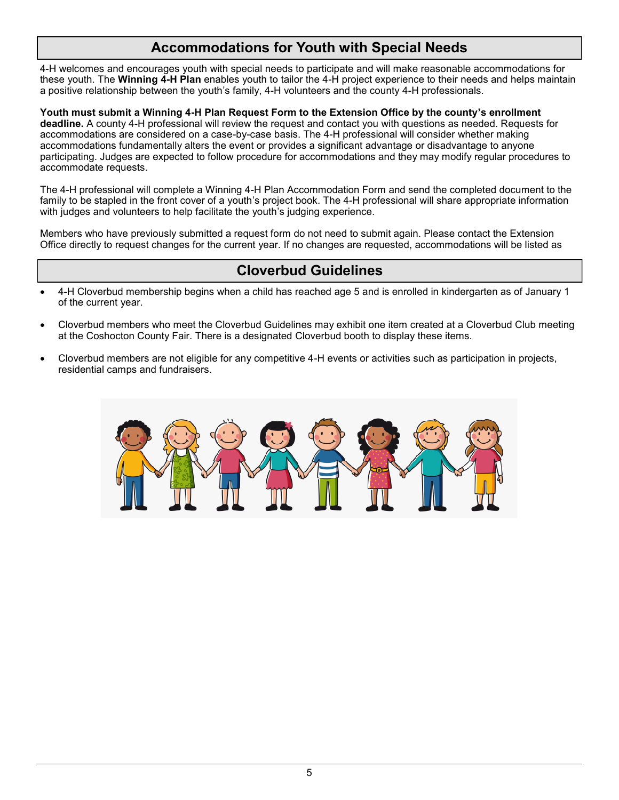### **Accommodations for Youth with Special Needs**

4-H welcomes and encourages youth with special needs to participate and will make reasonable accommodations for these youth. The **Winning 4-H Plan** enables youth to tailor the 4-H project experience to their needs and helps maintain a positive relationship between the youth's family, 4-H volunteers and the county 4-H professionals.

**Youth must submit a Winning 4-H Plan Request Form to the Extension Office by the county's enrollment deadline.** A county 4-H professional will review the request and contact you with questions as needed. Requests for accommodations are considered on a case-by-case basis. The 4-H professional will consider whether making accommodations fundamentally alters the event or provides a significant advantage or disadvantage to anyone participating. Judges are expected to follow procedure for accommodations and they may modify regular procedures to accommodate requests.

The 4-H professional will complete a Winning 4-H Plan Accommodation Form and send the completed document to the family to be stapled in the front cover of a youth's project book. The 4-H professional will share appropriate information with judges and volunteers to help facilitate the youth's judging experience.

Members who have previously submitted a request form do not need to submit again. Please contact the Extension Office directly to request changes for the current year. If no changes are requested, accommodations will be listed as

### **Cloverbud Guidelines**

- 4-H Cloverbud membership begins when a child has reached age 5 and is enrolled in kindergarten as of January 1 of the current year.
- Cloverbud members who meet the Cloverbud Guidelines may exhibit one item created at a Cloverbud Club meeting at the Coshocton County Fair. There is a designated Cloverbud booth to display these items.
- Cloverbud members are not eligible for any competitive 4-H events or activities such as participation in projects, residential camps and fundraisers.

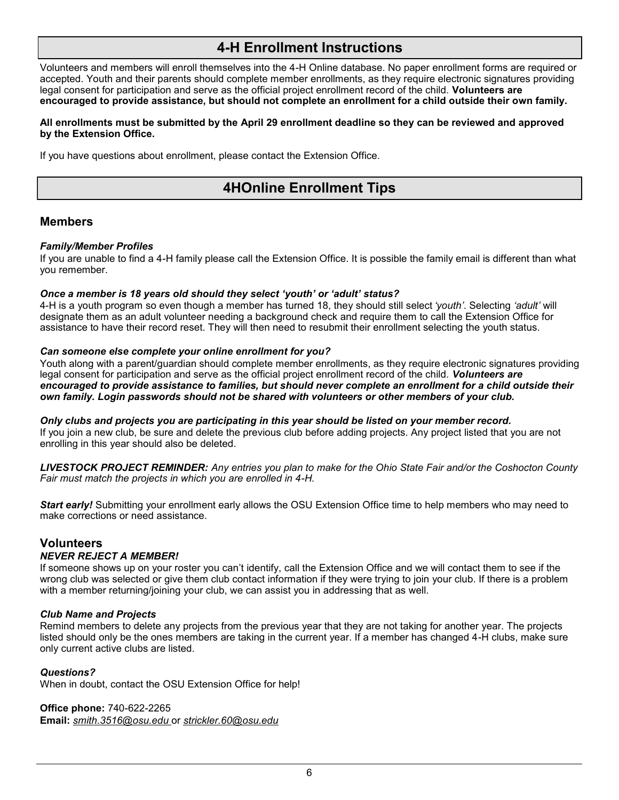### **4-H Enrollment Instructions**

Volunteers and members will enroll themselves into the 4-H Online database. No paper enrollment forms are required or accepted. Youth and their parents should complete member enrollments, as they require electronic signatures providing legal consent for participation and serve as the official project enrollment record of the child. **Volunteers are encouraged to provide assistance, but should not complete an enrollment for a child outside their own family.** 

#### **All enrollments must be submitted by the April 29 enrollment deadline so they can be reviewed and approved by the Extension Office.**

If you have questions about enrollment, please contact the Extension Office.

### **4HOnline Enrollment Tips**

#### **Members**

#### *Family/Member Profiles*

If you are unable to find a 4-H family please call the Extension Office. It is possible the family email is different than what you remember.

#### *Once a member is 18 years old should they select 'youth' or 'adult' status?*

4-H is a youth program so even though a member has turned 18, they should still select *'youth'*. Selecting *'adult'* will designate them as an adult volunteer needing a background check and require them to call the Extension Office for assistance to have their record reset. They will then need to resubmit their enrollment selecting the youth status.

#### *Can someone else complete your online enrollment for you?*

Youth along with a parent/guardian should complete member enrollments, as they require electronic signatures providing legal consent for participation and serve as the official project enrollment record of the child. *Volunteers are encouraged to provide assistance to families, but should never complete an enrollment for a child outside their own family. Login passwords should not be shared with volunteers or other members of your club.*

*Only clubs and projects you are participating in this year should be listed on your member record.*  If you join a new club, be sure and delete the previous club before adding projects. Any project listed that you are not enrolling in this year should also be deleted.

*LIVESTOCK PROJECT REMINDER: Any entries you plan to make for the Ohio State Fair and/or the Coshocton County Fair must match the projects in which you are enrolled in 4-H.*

*Start early!* Submitting your enrollment early allows the OSU Extension Office time to help members who may need to make corrections or need assistance.

#### **Volunteers**

#### *NEVER REJECT A MEMBER!*

If someone shows up on your roster you can't identify, call the Extension Office and we will contact them to see if the wrong club was selected or give them club contact information if they were trying to join your club. If there is a problem with a member returning/joining your club, we can assist you in addressing that as well.

#### *Club Name and Projects*

Remind members to delete any projects from the previous year that they are not taking for another year. The projects listed should only be the ones members are taking in the current year. If a member has changed 4-H clubs, make sure only current active clubs are listed.

#### *Questions?*

When in doubt, contact the OSU Extension Office for help!

**Office phone:** 740-622-2265 **Email:** *smith.3516@osu.edu* or *strickler.60@osu.edu*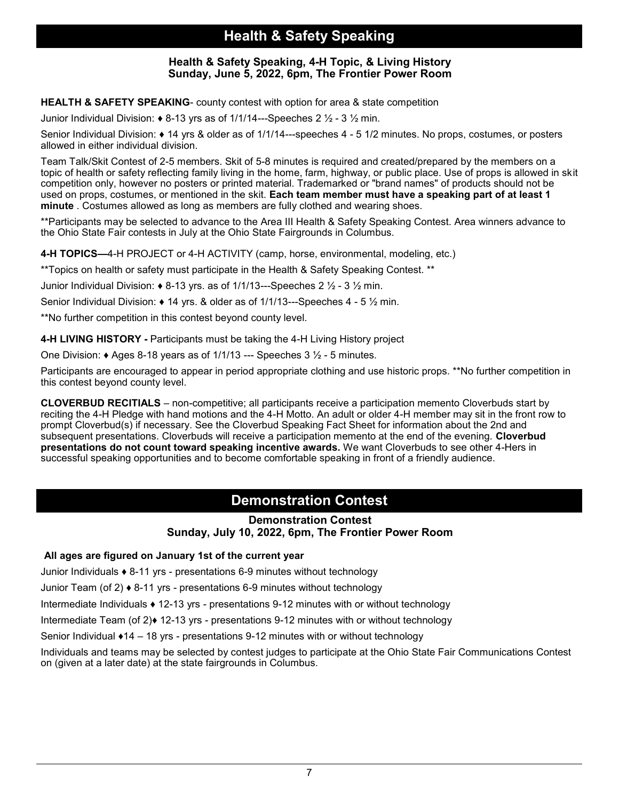### **Health & Safety Speaking**

#### **Health & Safety Speaking, 4-H Topic, & Living History Sunday, June 5, 2022, 6pm, The Frontier Power Room**

**HEALTH & SAFETY SPEAKING**- county contest with option for area & state competition

Junior Individual Division: **♦** 8-13 yrs as of 1/1/14---Speeches 2 ½ - 3 ½ min.

Senior Individual Division: **♦** 14 yrs & older as of 1/1/14---speeches 4 - 5 1/2 minutes. No props, costumes, or posters allowed in either individual division.

Team Talk/Skit Contest of 2-5 members. Skit of 5-8 minutes is required and created/prepared by the members on a topic of health or safety reflecting family living in the home, farm, highway, or public place. Use of props is allowed in skit competition only, however no posters or printed material. Trademarked or "brand names" of products should not be used on props, costumes, or mentioned in the skit. **Each team member must have a speaking part of at least 1 minute** . Costumes allowed as long as members are fully clothed and wearing shoes.

\*\*Participants may be selected to advance to the Area III Health & Safety Speaking Contest. Area winners advance to the Ohio State Fair contests in July at the Ohio State Fairgrounds in Columbus.

**4-H TOPICS—**4-H PROJECT or 4-H ACTIVITY (camp, horse, environmental, modeling, etc.)

\*\*Topics on health or safety must participate in the Health & Safety Speaking Contest. \*\*

Junior Individual Division: **♦** 8-13 yrs. as of 1/1/13---Speeches 2 ½ - 3 ½ min.

Senior Individual Division: **♦** 14 yrs. & older as of 1/1/13---Speeches 4 - 5 ½ min.

\*\*No further competition in this contest beyond county level.

**4-H LIVING HISTORY -** Participants must be taking the 4-H Living History project

One Division: **♦** Ages 8-18 years as of 1/1/13 --- Speeches 3 ½ - 5 minutes.

Participants are encouraged to appear in period appropriate clothing and use historic props. \*\*No further competition in this contest beyond county level.

**CLOVERBUD RECITIALS** – non-competitive; all participants receive a participation memento Cloverbuds start by reciting the 4-H Pledge with hand motions and the 4-H Motto. An adult or older 4-H member may sit in the front row to prompt Cloverbud(s) if necessary. See the Cloverbud Speaking Fact Sheet for information about the 2nd and subsequent presentations. Cloverbuds will receive a participation memento at the end of the evening. **Cloverbud presentations do not count toward speaking incentive awards.** We want Cloverbuds to see other 4-Hers in successful speaking opportunities and to become comfortable speaking in front of a friendly audience.

### **Demonstration Contest**

#### **Demonstration Contest Sunday, July 10, 2022, 6pm, The Frontier Power Room**

#### **All ages are figured on January 1st of the current year**

Junior Individuals **♦** 8-11 yrs - presentations 6-9 minutes without technology

Junior Team (of 2) **♦** 8-11 yrs - presentations 6-9 minutes without technology

Intermediate Individuals **♦** 12-13 yrs - presentations 9-12 minutes with or without technology

Intermediate Team (of 2)**♦** 12-13 yrs - presentations 9-12 minutes with or without technology

Senior Individual **♦**14 – 18 yrs - presentations 9-12 minutes with or without technology

Individuals and teams may be selected by contest judges to participate at the Ohio State Fair Communications Contest on (given at a later date) at the state fairgrounds in Columbus.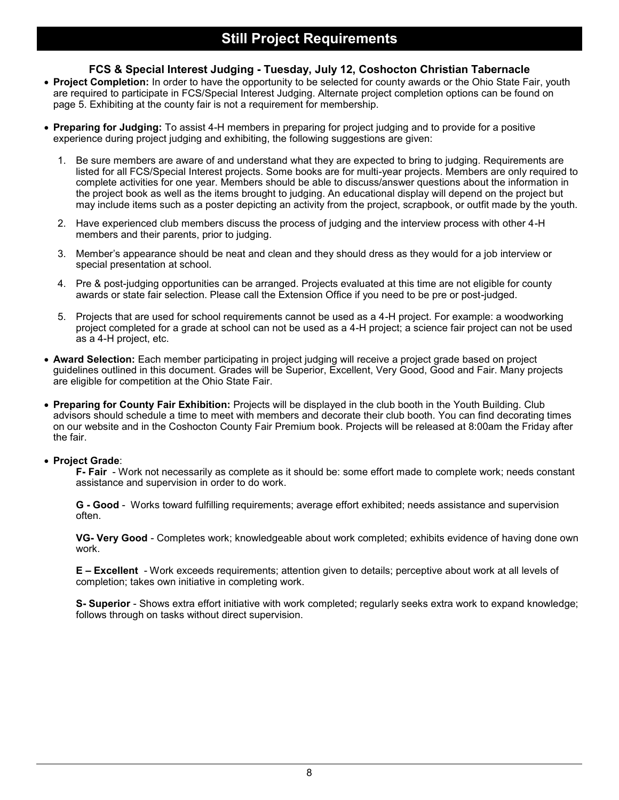#### **FCS & Special Interest Judging - Tuesday, July 12, Coshocton Christian Tabernacle**

- **Project Completion:** In order to have the opportunity to be selected for county awards or the Ohio State Fair, youth are required to participate in FCS/Special Interest Judging. Alternate project completion options can be found on page 5. Exhibiting at the county fair is not a requirement for membership.
- **Preparing for Judging:** To assist 4-H members in preparing for project judging and to provide for a positive experience during project judging and exhibiting, the following suggestions are given:
	- 1. Be sure members are aware of and understand what they are expected to bring to judging. Requirements are listed for all FCS/Special Interest projects. Some books are for multi-year projects. Members are only required to complete activities for one year. Members should be able to discuss/answer questions about the information in the project book as well as the items brought to judging. An educational display will depend on the project but may include items such as a poster depicting an activity from the project, scrapbook, or outfit made by the youth.
	- 2. Have experienced club members discuss the process of judging and the interview process with other 4-H members and their parents, prior to judging.
	- 3. Member's appearance should be neat and clean and they should dress as they would for a job interview or special presentation at school.
	- 4. Pre & post-judging opportunities can be arranged. Projects evaluated at this time are not eligible for county awards or state fair selection. Please call the Extension Office if you need to be pre or post-judged.
	- 5. Projects that are used for school requirements cannot be used as a 4-H project. For example: a woodworking project completed for a grade at school can not be used as a 4-H project; a science fair project can not be used as a 4-H project, etc.
- **Award Selection:** Each member participating in project judging will receive a project grade based on project guidelines outlined in this document. Grades will be Superior, Excellent, Very Good, Good and Fair. Many projects are eligible for competition at the Ohio State Fair.
- **Preparing for County Fair Exhibition:** Projects will be displayed in the club booth in the Youth Building. Club advisors should schedule a time to meet with members and decorate their club booth. You can find decorating times on our website and in the Coshocton County Fair Premium book. Projects will be released at 8:00am the Friday after the fair.

#### • **Project Grade**:

**F- Fair** - Work not necessarily as complete as it should be: some effort made to complete work; needs constant assistance and supervision in order to do work.

**G - Good** - Works toward fulfilling requirements; average effort exhibited; needs assistance and supervision often.

**VG- Very Good** - Completes work; knowledgeable about work completed; exhibits evidence of having done own work.

**E – Excellent** - Work exceeds requirements; attention given to details; perceptive about work at all levels of completion; takes own initiative in completing work.

**S- Superior** - Shows extra effort initiative with work completed; regularly seeks extra work to expand knowledge; follows through on tasks without direct supervision.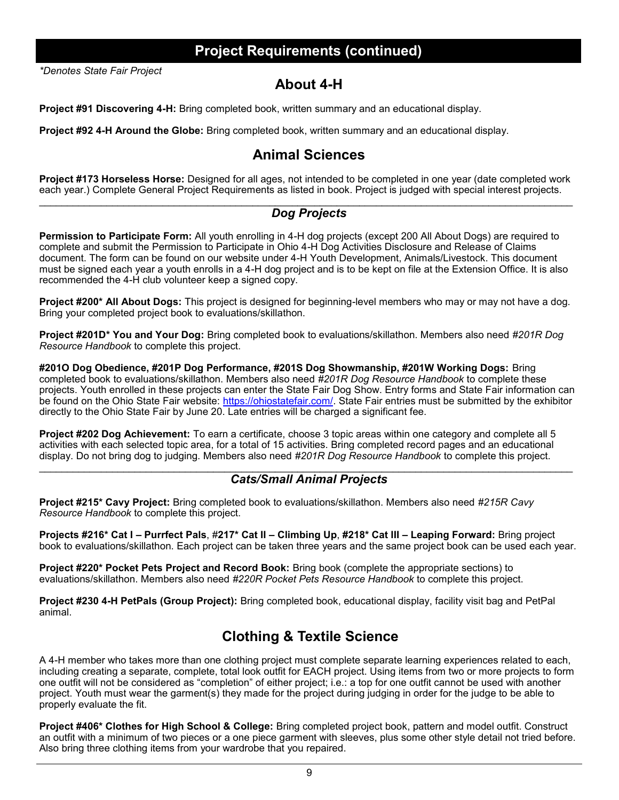### **Project Requirements (continued)**

*\*Denotes State Fair Project*

#### **About 4-H**

**Project #91 Discovering 4-H:** Bring completed book, written summary and an educational display.

**Project #92 4-H Around the Globe:** Bring completed book, written summary and an educational display.

### **Animal Sciences**

**Project #173 Horseless Horse:** Designed for all ages, not intended to be completed in one year (date completed work each year.) Complete General Project Requirements as listed in book. Project is judged with special interest projects.

#### *Dog Projects*

**Permission to Participate Form:** All youth enrolling in 4-H dog projects (except 200 All About Dogs) are required to complete and submit the Permission to Participate in Ohio 4-H Dog Activities Disclosure and Release of Claims document. The form can be found on our website under 4-H Youth Development, Animals/Livestock. This document must be signed each year a youth enrolls in a 4-H dog project and is to be kept on file at the Extension Office. It is also recommended the 4-H club volunteer keep a signed copy.

**Project #200\* All About Dogs:** This project is designed for beginning-level members who may or may not have a dog. Bring your completed project book to evaluations/skillathon.

**Project #201D\* You and Your Dog:** Bring completed book to evaluations/skillathon. Members also need *#201R Dog Resource Handbook* to complete this project.

**#201O Dog Obedience, #201P Dog Performance, #201S Dog Showmanship, #201W Working Dogs:** Bring completed book to evaluations/skillathon. Members also need *#201R Dog Resource Handbook* to complete these projects. Youth enrolled in these projects can enter the State Fair Dog Show. Entry forms and State Fair information can be found on the Ohio State Fair website: [https://ohiostatefair.com/.](https://ohiostatefair.com/) State Fair entries must be submitted by the exhibitor directly to the Ohio State Fair by June 20. Late entries will be charged a significant fee.

**Project #202 Dog Achievement:** To earn a certificate, choose 3 topic areas within one category and complete all 5 activities with each selected topic area, for a total of 15 activities. Bring completed record pages and an educational display. Do not bring dog to judging. Members also need *#201R Dog Resource Handbook* to complete this project.

#### \_\_\_\_\_\_\_\_\_\_\_\_\_\_\_\_\_\_\_\_\_\_\_\_\_\_\_\_\_\_\_\_\_\_\_\_\_\_\_\_\_\_\_\_\_\_\_\_\_\_\_\_\_\_\_\_\_\_\_\_\_\_\_\_\_\_\_\_\_\_\_\_\_\_\_\_\_\_\_\_\_\_\_\_\_\_\_\_\_\_\_\_\_\_\_ *Cats/Small Animal Projects*

**Project #215\* Cavy Project:** Bring completed book to evaluations/skillathon. Members also need *#215R Cavy Resource Handbook* to complete this project.

**Projects #216\* Cat I – Purrfect Pals**, #**217\* Cat II – Climbing Up**, **#218\* Cat III – Leaping Forward:** Bring project book to evaluations/skillathon. Each project can be taken three years and the same project book can be used each year.

**Project #220\* Pocket Pets Project and Record Book:** Bring book (complete the appropriate sections) to evaluations/skillathon. Members also need *#220R Pocket Pets Resource Handbook* to complete this project.

**Project #230 4-H PetPals (Group Project):** Bring completed book, educational display, facility visit bag and PetPal animal.

### **Clothing & Textile Science**

A 4-H member who takes more than one clothing project must complete separate learning experiences related to each, including creating a separate, complete, total look outfit for EACH project. Using items from two or more projects to form one outfit will not be considered as "completion" of either project; i.e.: a top for one outfit cannot be used with another project. Youth must wear the garment(s) they made for the project during judging in order for the judge to be able to properly evaluate the fit.

**Project #406\* Clothes for High School & College:** Bring completed project book, pattern and model outfit. Construct an outfit with a minimum of two pieces or a one piece garment with sleeves, plus some other style detail not tried before. Also bring three clothing items from your wardrobe that you repaired.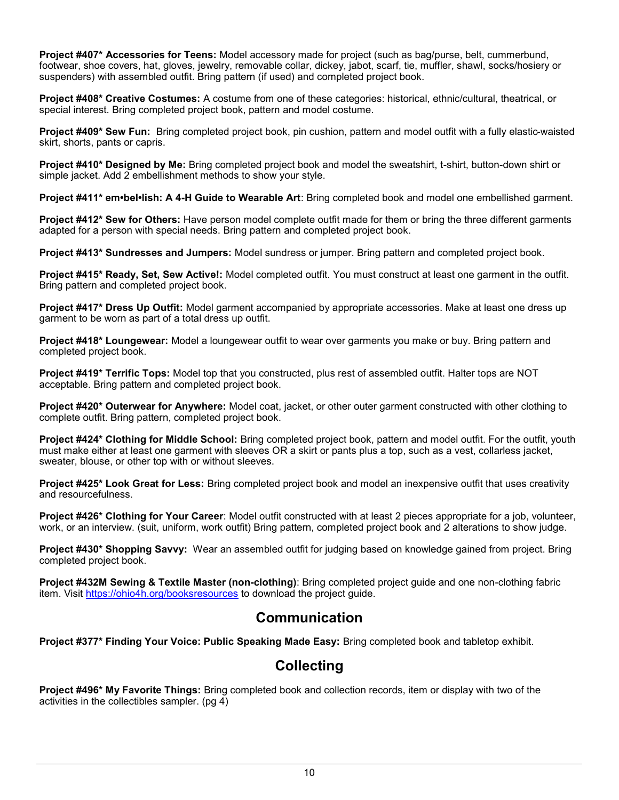**Project #407\* Accessories for Teens:** Model accessory made for project (such as bag/purse, belt, cummerbund, footwear, shoe covers, hat, gloves, jewelry, removable collar, dickey, jabot, scarf, tie, muffler, shawl, socks/hosiery or suspenders) with assembled outfit. Bring pattern (if used) and completed project book.

**Project #408\* Creative Costumes:** A costume from one of these categories: historical, ethnic/cultural, theatrical, or special interest. Bring completed project book, pattern and model costume.

**Project #409\* Sew Fun:** Bring completed project book, pin cushion, pattern and model outfit with a fully elastic-waisted skirt, shorts, pants or capris.

**Project #410\* Designed by Me:** Bring completed project book and model the sweatshirt, t-shirt, button-down shirt or simple jacket. Add 2 embellishment methods to show your style.

**Project #411\* em•bel•lish: A 4-H Guide to Wearable Art**: Bring completed book and model one embellished garment.

**Project #412\* Sew for Others:** Have person model complete outfit made for them or bring the three different garments adapted for a person with special needs. Bring pattern and completed project book.

**Project #413\* Sundresses and Jumpers:** Model sundress or jumper. Bring pattern and completed project book.

**Project #415\* Ready, Set, Sew Active!:** Model completed outfit. You must construct at least one garment in the outfit. Bring pattern and completed project book.

**Project #417\* Dress Up Outfit:** Model garment accompanied by appropriate accessories. Make at least one dress up garment to be worn as part of a total dress up outfit.

**Project #418\* Loungewear:** Model a loungewear outfit to wear over garments you make or buy. Bring pattern and completed project book.

**Project #419\* Terrific Tops:** Model top that you constructed, plus rest of assembled outfit. Halter tops are NOT acceptable. Bring pattern and completed project book.

**Project #420\* Outerwear for Anywhere:** Model coat, jacket, or other outer garment constructed with other clothing to complete outfit. Bring pattern, completed project book.

**Project #424\* Clothing for Middle School:** Bring completed project book, pattern and model outfit. For the outfit, youth must make either at least one garment with sleeves OR a skirt or pants plus a top, such as a vest, collarless jacket, sweater, blouse, or other top with or without sleeves.

**Project #425\* Look Great for Less:** Bring completed project book and model an inexpensive outfit that uses creativity and resourcefulness.

**Project #426\* Clothing for Your Career**: Model outfit constructed with at least 2 pieces appropriate for a job, volunteer, work, or an interview. (suit, uniform, work outfit) Bring pattern, completed project book and 2 alterations to show judge.

**Project #430\* Shopping Savvy:** Wear an assembled outfit for judging based on knowledge gained from project. Bring completed project book.

**Project #432M Sewing & Textile Master (non-clothing)**: Bring completed project guide and one non-clothing fabric item. Visit <https://ohio4h.org/booksresources> to download the project guide.

#### **Communication**

**Project #377\* Finding Your Voice: Public Speaking Made Easy:** Bring completed book and tabletop exhibit.

### **Collecting**

**Project #496\* My Favorite Things:** Bring completed book and collection records, item or display with two of the activities in the collectibles sampler. (pg 4)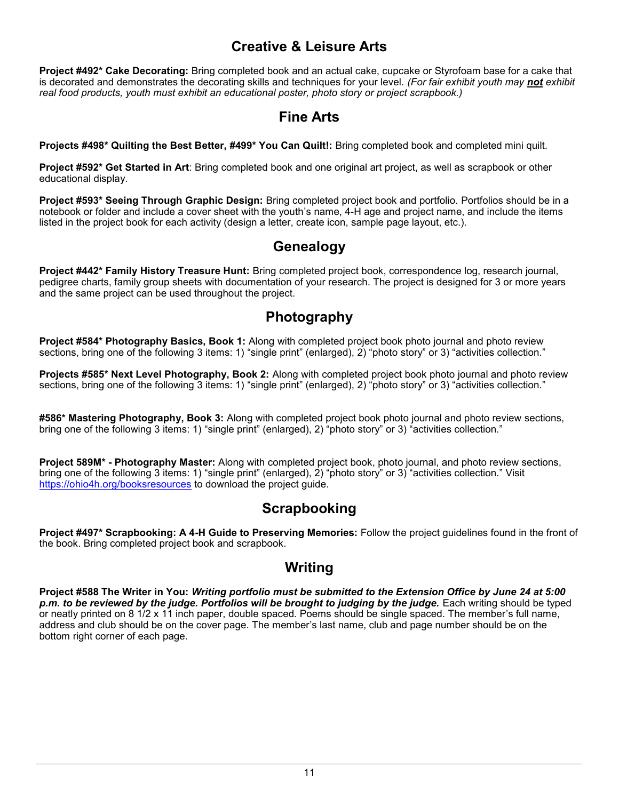### **Creative & Leisure Arts**

**Project #492\* Cake Decorating:** Bring completed book and an actual cake, cupcake or Styrofoam base for a cake that is decorated and demonstrates the decorating skills and techniques for your level. *(For fair exhibit youth may not exhibit real food products, youth must exhibit an educational poster, photo story or project scrapbook.)* 

### **Fine Arts**

**Projects #498\* Quilting the Best Better, #499\* You Can Quilt!:** Bring completed book and completed mini quilt.

**Project #592\* Get Started in Art**: Bring completed book and one original art project, as well as scrapbook or other educational display.

**Project #593\* Seeing Through Graphic Design:** Bring completed project book and portfolio. Portfolios should be in a notebook or folder and include a cover sheet with the youth's name, 4-H age and project name, and include the items listed in the project book for each activity (design a letter, create icon, sample page layout, etc.).

### **Genealogy**

**Project #442\* Family History Treasure Hunt:** Bring completed project book, correspondence log, research journal, pedigree charts, family group sheets with documentation of your research. The project is designed for 3 or more years and the same project can be used throughout the project.

### **Photography**

**Project #584\* Photography Basics, Book 1:** Along with completed project book photo journal and photo review sections, bring one of the following 3 items: 1) "single print" (enlarged), 2) "photo story" or 3) "activities collection."

**Projects #585\* Next Level Photography, Book 2:** Along with completed project book photo journal and photo review sections, bring one of the following 3 items: 1) "single print" (enlarged), 2) "photo story" or 3) "activities collection."

**#586\* Mastering Photography, Book 3:** Along with completed project book photo journal and photo review sections, bring one of the following 3 items: 1) "single print" (enlarged), 2) "photo story" or 3) "activities collection."

**Project 589M\* - Photography Master:** Along with completed project book, photo journal, and photo review sections, bring one of the following 3 items: 1) "single print" (enlarged), 2) "photo story" or 3) "activities collection." Visit <https://ohio4h.org/booksresources> to download the project guide.

### **Scrapbooking**

**Project #497\* Scrapbooking: A 4-H Guide to Preserving Memories:** Follow the project guidelines found in the front of the book. Bring completed project book and scrapbook.

### **Writing**

**Project #588 The Writer in You:** *Writing portfolio must be submitted to the Extension Office by June 24 at 5:00*  p.m. to be reviewed by the judge. Portfolios will be brought to judging by the judge. Each writing should be typed or neatly printed on 8 1/2 x 11 inch paper, double spaced. Poems should be single spaced. The member's full name, address and club should be on the cover page. The member's last name, club and page number should be on the bottom right corner of each page.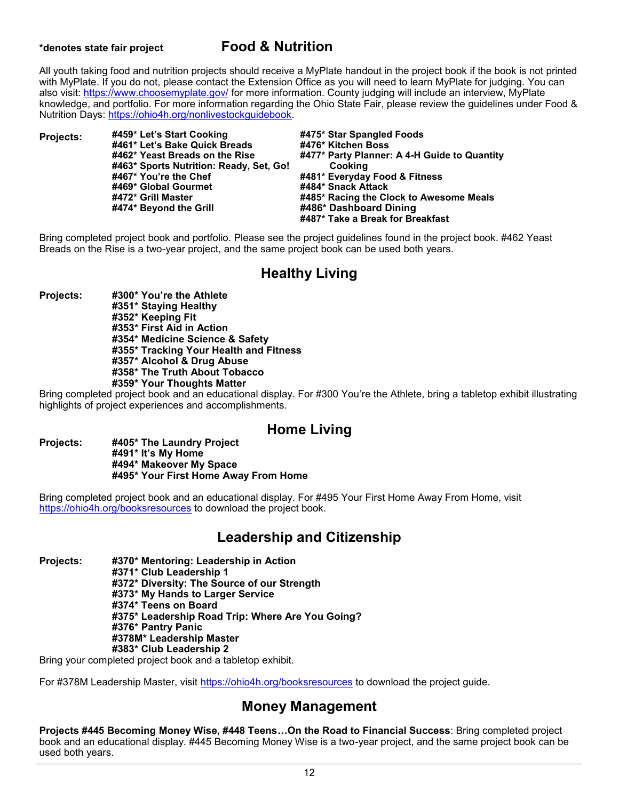### **\*denotes state fair project Food & Nutrition**

All youth taking food and nutrition projects should receive a MyPlate handout in the project book if the book is not printed with MyPlate. If you do not, please contact the Extension Office as you will need to learn MyPlate for judging. You can also visit: <https://www.choosemyplate.gov/> for more information. County judging will include an interview, MyPlate knowledge, and portfolio. For more information regarding the Ohio State Fair, please review the guidelines under Food & Nutrition Days: [https://ohio4h.org/nonlivestockguidebook.](https://ohio4h.org/nonlivestockguidebook)

**Projects: #459\* Let's Start Cooking #461\* Let's Bake Quick Breads #462\* Yeast Breads on the Rise #463\* Sports Nutrition: Ready, Set, Go! #467\* You're the Chef #469\* Global Gourmet #472\* Grill Master #474\* Beyond the Grill #475\* Star Spangled Foods #476\* Kitchen Boss #477\* Party Planner: A 4-H Guide to Quantity Cooking #481\* Everyday Food & Fitness #484\* Snack Attack #485\* Racing the Clock to Awesome Meals #486\* Dashboard Dining #487\* Take a Break for Breakfast**

Bring completed project book and portfolio. Please see the project guidelines found in the project book. #462 Yeast Breads on the Rise is a two-year project, and the same project book can be used both years.

### **Healthy Living**

**Projects: #300\* You're the Athlete #351\* Staying Healthy #352\* Keeping Fit #353\* First Aid in Action #354\* Medicine Science & Safety #355\* Tracking Your Health and Fitness #357\* Alcohol & Drug Abuse #358\* The Truth About Tobacco #359\* Your Thoughts Matter**

Bring completed project book and an educational display. For #300 You're the Athlete, bring a tabletop exhibit illustrating highlights of project experiences and accomplishments.

#### **Home Living**

**Projects: #405\* The Laundry Project #491\* It's My Home #494\* Makeover My Space #495\* Your First Home Away From Home**

Bring completed project book and an educational display. For #495 Your First Home Away From Home, visit <https://ohio4h.org/booksresources> to download the project book.

#### **Leadership and Citizenship**

**Projects: #370\* Mentoring: Leadership in Action #371\* Club Leadership 1 #372\* Diversity: The Source of our Strength #373\* My Hands to Larger Service #374\* Teens on Board #375\* Leadership Road Trip: Where Are You Going? #376\* Pantry Panic #378M\* Leadership Master #383\* Club Leadership 2**

Bring your completed project book and a tabletop exhibit.

For #378M Leadership Master, visit<https://ohio4h.org/booksresources> to download the project guide.

#### **Money Management**

**Projects #445 Becoming Money Wise, #448 Teens…On the Road to Financial Success**: Bring completed project book and an educational display. #445 Becoming Money Wise is a two-year project, and the same project book can be used both years.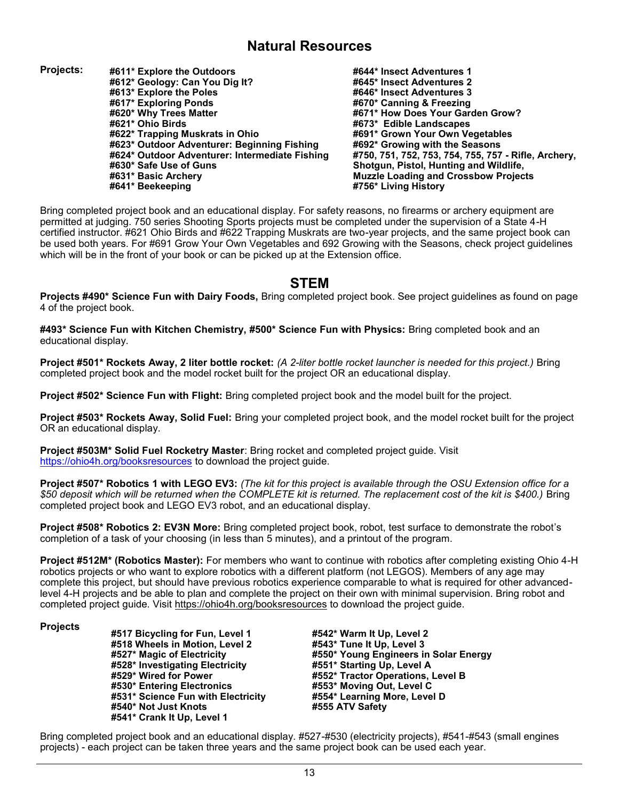#### **Natural Resources**

- **Projects: #611\* Explore the Outdoors #612\* Geology: Can You Dig It? #613\* Explore the Poles #617\* Exploring Ponds #620\* Why Trees Matter #621\* Ohio Birds #622\* Trapping Muskrats in Ohio #623\* Outdoor Adventurer: Beginning Fishing #624\* Outdoor Adventurer: Intermediate Fishing #630\* Safe Use of Guns #631\* Basic Archery #641\* Beekeeping**
- **#644\* Insect Adventures 1 #645\* Insect Adventures 2 #646\* Insect Adventures 3 #670\* Canning & Freezing #671\* How Does Your Garden Grow? #673\* Edible Landscapes #691\* Grown Your Own Vegetables #692\* Growing with the Seasons #750, 751, 752, 753, 754, 755, 757 - Rifle, Archery, Shotgun, Pistol, Hunting and Wildlife, Muzzle Loading and Crossbow Projects #756\* Living History**

Bring completed project book and an educational display. For safety reasons, no firearms or archery equipment are permitted at judging. 750 series Shooting Sports projects must be completed under the supervision of a State 4-H certified instructor. #621 Ohio Birds and #622 Trapping Muskrats are two-year projects, and the same project book can be used both years. For #691 Grow Your Own Vegetables and 692 Growing with the Seasons, check project guidelines which will be in the front of your book or can be picked up at the Extension office.

#### **STEM**

**Projects #490\* Science Fun with Dairy Foods,** Bring completed project book. See project guidelines as found on page 4 of the project book.

**#493\* Science Fun with Kitchen Chemistry, #500\* Science Fun with Physics:** Bring completed book and an educational display.

**Project #501\* Rockets Away, 2 liter bottle rocket:** *(A 2-liter bottle rocket launcher is needed for this project.)* Bring completed project book and the model rocket built for the project OR an educational display.

**Project #502\* Science Fun with Flight:** Bring completed project book and the model built for the project.

**Project #503\* Rockets Away, Solid Fuel:** Bring your completed project book, and the model rocket built for the project OR an educational display.

**Project #503M\* Solid Fuel Rocketry Master**: Bring rocket and completed project guide. Visit <https://ohio4h.org/booksresources> to download the project guide.

**Project #507\* Robotics 1 with LEGO EV3:** *(The kit for this project is available through the OSU Extension office for a \$50 deposit which will be returned when the COMPLETE kit is returned. The replacement cost of the kit is \$400.)* Bring completed project book and LEGO EV3 robot, and an educational display.

**Project #508\* Robotics 2: EV3N More:** Bring completed project book, robot, test surface to demonstrate the robot's completion of a task of your choosing (in less than 5 minutes), and a printout of the program.

**Project #512M\* (Robotics Master):** For members who want to continue with robotics after completing existing Ohio 4-H robotics projects or who want to explore robotics with a different platform (not LEGOS). Members of any age may complete this project, but should have previous robotics experience comparable to what is required for other advancedlevel 4-H projects and be able to plan and complete the project on their own with minimal supervision. Bring robot and completed project guide. Visit <https://ohio4h.org/booksresources> to download the project guide.

#### **Projects**

**#517 Bicycling for Fun, Level 1 #518 Wheels in Motion, Level 2 #527\* Magic of Electricity #528\* Investigating Electricity #529\* Wired for Power #530\* Entering Electronics #531\* Science Fun with Electricity #540\* Not Just Knots #541\* Crank It Up, Level 1**

**#542\* Warm It Up, Level 2 #543\* Tune It Up, Level 3 #550\* Young Engineers in Solar Energy #551\* Starting Up, Level A #552\* Tractor Operations, Level B #553\* Moving Out, Level C #554\* Learning More, Level D #555 ATV Safety**

Bring completed project book and an educational display. #527-#530 (electricity projects), #541-#543 (small engines projects) - each project can be taken three years and the same project book can be used each year.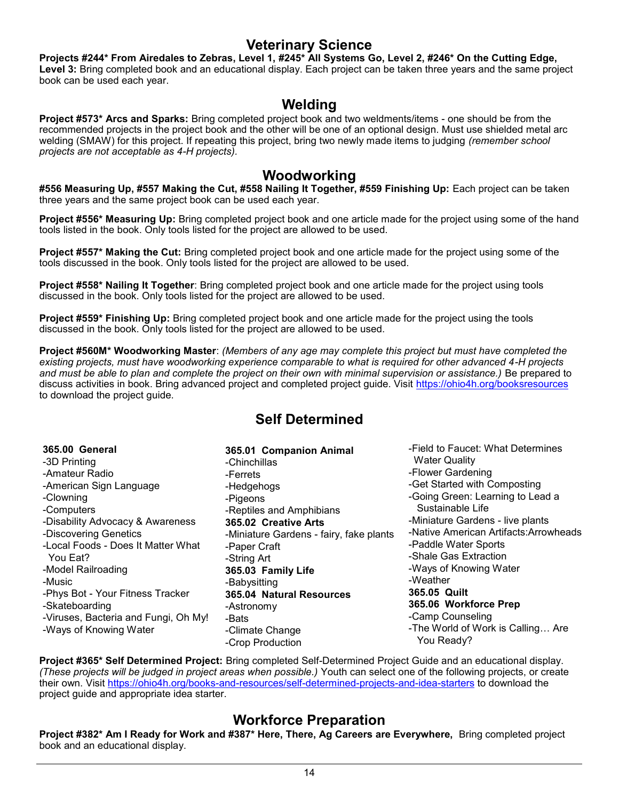#### **Veterinary Science**

**Projects #244\* From Airedales to Zebras, Level 1, #245\* All Systems Go, Level 2, #246\* On the Cutting Edge, Level 3:** Bring completed book and an educational display. Each project can be taken three years and the same project book can be used each year.

#### **Welding**

**Project #573\* Arcs and Sparks:** Bring completed project book and two weldments/items - one should be from the recommended projects in the project book and the other will be one of an optional design. Must use shielded metal arc welding (SMAW) for this project. If repeating this project, bring two newly made items to judging *(remember school projects are not acceptable as 4-H projects).* 

#### **Woodworking**

**#556 Measuring Up, #557 Making the Cut, #558 Nailing It Together, #559 Finishing Up:** Each project can be taken three years and the same project book can be used each year.

**Project #556\* Measuring Up:** Bring completed project book and one article made for the project using some of the hand tools listed in the book. Only tools listed for the project are allowed to be used.

**Project #557\* Making the Cut:** Bring completed project book and one article made for the project using some of the tools discussed in the book. Only tools listed for the project are allowed to be used.

**Project #558\* Nailing It Together**: Bring completed project book and one article made for the project using tools discussed in the book. Only tools listed for the project are allowed to be used.

**Project #559\* Finishing Up:** Bring completed project book and one article made for the project using the tools discussed in the book. Only tools listed for the project are allowed to be used.

**Project #560M\* Woodworking Master**: *(Members of any age may complete this project but must have completed the existing projects, must have woodworking experience comparable to what is required for other advanced 4-H projects*  and must be able to plan and complete the project on their own with minimal supervision or assistance.) Be prepared to discuss activities in book. Bring advanced project and completed project guide. Visit <https://ohio4h.org/booksresources> to download the project guide.

### **Self Determined**

| <b>365.00 General</b>                | 365.01 Companion Animal                 | -Field to Faucet: What Determines      |
|--------------------------------------|-----------------------------------------|----------------------------------------|
| -3D Printing                         | -Chinchillas                            | <b>Water Quality</b>                   |
| -Amateur Radio                       | -Ferrets                                | -Flower Gardening                      |
| -American Sign Language              | -Hedgehogs                              | -Get Started with Composting           |
| -Clowning                            | -Pigeons                                | -Going Green: Learning to Lead a       |
| -Computers                           | -Reptiles and Amphibians                | Sustainable Life                       |
| -Disability Advocacy & Awareness     | 365.02 Creative Arts                    | -Miniature Gardens - live plants       |
| -Discovering Genetics                | -Miniature Gardens - fairy, fake plants | -Native American Artifacts: Arrowheads |
| -Local Foods - Does It Matter What   | -Paper Craft                            | -Paddle Water Sports                   |
| You Eat?                             | -String Art                             | -Shale Gas Extraction                  |
| -Model Railroading                   | 365.03 Family Life                      | -Ways of Knowing Water                 |
| -Music                               | -Babysitting                            | -Weather                               |
| -Phys Bot - Your Fitness Tracker     | 365.04 Natural Resources                | 365.05 Quilt                           |
| -Skateboarding                       | -Astronomy                              | 365.06 Workforce Prep                  |
| -Viruses, Bacteria and Fungi, Oh My! | -Bats                                   | -Camp Counseling                       |
| -Ways of Knowing Water               | -Climate Change                         | -The World of Work is Calling Are      |
|                                      | -Crop Production                        | You Ready?                             |

**Project #365\* Self Determined Project:** Bring completed Self-Determined Project Guide and an educational display. *(These projects will be judged in project areas when possible.)* Youth can select one of the following projects, or create their own. Visit [https://ohio4h.org/books](https://ohio4h.org/books-and-resources/self-determined-projects-and-idea-starters)-and-resources/self-determined-projects-and-idea-starters to download the project guide and appropriate idea starter.

### **Workforce Preparation**

**Project #382\* Am I Ready for Work and #387\* Here, There, Ag Careers are Everywhere,** Bring completed project book and an educational display.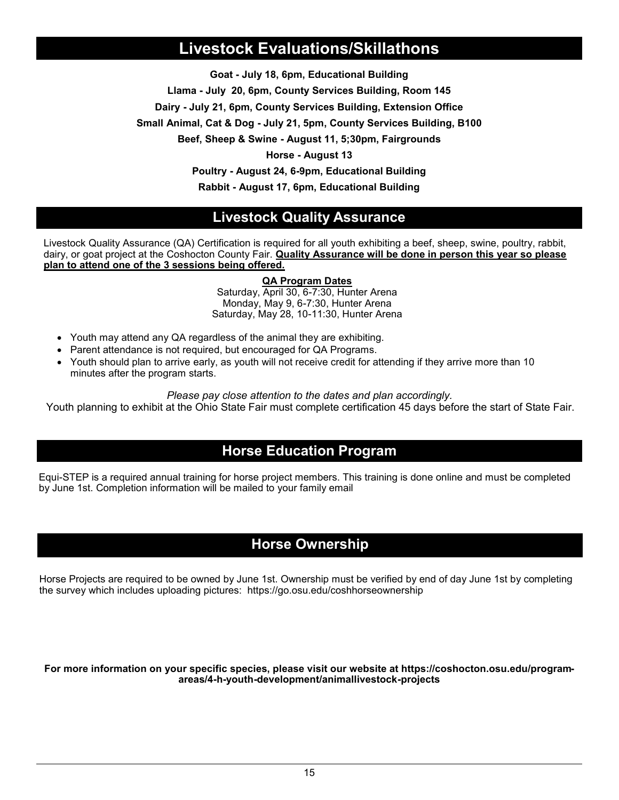### **Livestock Evaluations/Skillathons**

**Goat - July 18, 6pm, Educational Building**

**Llama - July 20, 6pm, County Services Building, Room 145**

**Dairy - July 21, 6pm, County Services Building, Extension Office**

**Small Animal, Cat & Dog - July 21, 5pm, County Services Building, B100**

**Beef, Sheep & Swine - August 11, 5;30pm, Fairgrounds**

**Horse - August 13**

**Poultry - August 24, 6-9pm, Educational Building**

**Rabbit - August 17, 6pm, Educational Building**

#### **Livestock Quality Assurance**

Livestock Quality Assurance (QA) Certification is required for all youth exhibiting a beef, sheep, swine, poultry, rabbit, dairy, or goat project at the Coshocton County Fair. **Quality Assurance will be done in person this year so please plan to attend one of the 3 sessions being offered.**

#### **QA Program Dates**

Saturday, April 30, 6-7:30, Hunter Arena Monday, May 9, 6-7:30, Hunter Arena Saturday, May 28, 10-11:30, Hunter Arena

- Youth may attend any QA regardless of the animal they are exhibiting.
- Parent attendance is not required, but encouraged for QA Programs.
- Youth should plan to arrive early, as youth will not receive credit for attending if they arrive more than 10 minutes after the program starts.

*Please pay close attention to the dates and plan accordingly.* 

Youth planning to exhibit at the Ohio State Fair must complete certification 45 days before the start of State Fair.

#### **Horse Education Program**

Equi-STEP is a required annual training for horse project members. This training is done online and must be completed by June 1st. Completion information will be mailed to your family email

### **Horse Ownership**

Horse Projects are required to be owned by June 1st. Ownership must be verified by end of day June 1st by completing the survey which includes uploading pictures: https://go.osu.edu/coshhorseownership

**For more information on your specific species, please visit our website at https://coshocton.osu.edu/programareas/4-h-youth-development/animallivestock-projects**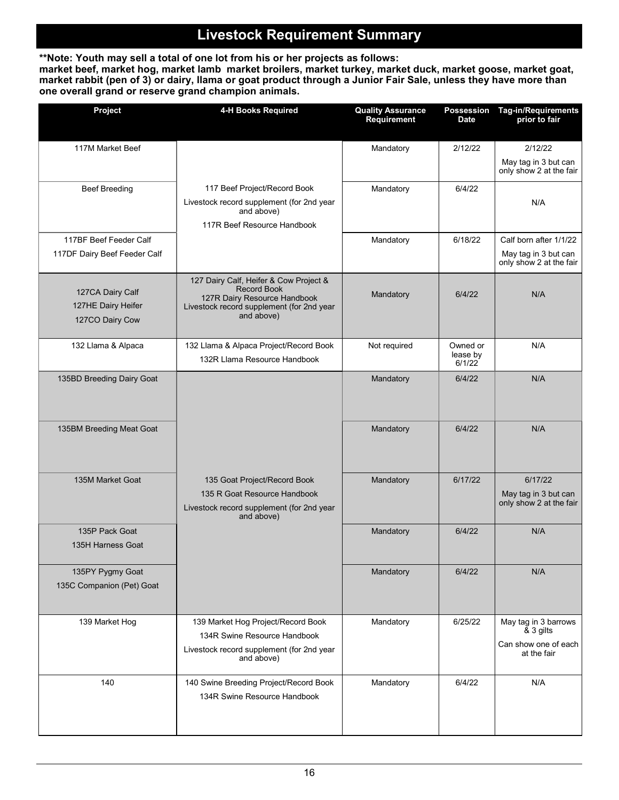### **Livestock Requirement Summary**

**\*\*Note: Youth may sell a total of one lot from his or her projects as follows: market beef, market hog, market lamb market broilers, market turkey, market duck, market goose, market goat, market rabbit (pen of 3) or dairy, llama or goat product through a Junior Fair Sale, unless they have more than one overall grand or reserve grand champion animals.**

| Project                                                   | 4-H Books Required                                                                                                                                      | <b>Quality Assurance</b><br>Requirement | Possession<br><b>Date</b>      | <b>Tag-in/Requirements</b><br>prior to fair                              |
|-----------------------------------------------------------|---------------------------------------------------------------------------------------------------------------------------------------------------------|-----------------------------------------|--------------------------------|--------------------------------------------------------------------------|
| 117M Market Beef                                          |                                                                                                                                                         | Mandatory                               | 2/12/22                        | 2/12/22                                                                  |
|                                                           |                                                                                                                                                         |                                         |                                | May tag in 3 but can<br>only show 2 at the fair                          |
| <b>Beef Breeding</b>                                      | 117 Beef Project/Record Book<br>Livestock record supplement (for 2nd year<br>and above)<br>117R Beef Resource Handbook                                  | Mandatory                               | 6/4/22                         | N/A                                                                      |
| 117BF Beef Feeder Calf                                    |                                                                                                                                                         | Mandatory                               | 6/18/22                        | Calf born after 1/1/22                                                   |
| 117DF Dairy Beef Feeder Calf                              |                                                                                                                                                         |                                         |                                | May tag in 3 but can<br>only show 2 at the fair                          |
| 127CA Dairy Calf<br>127HE Dairy Heifer<br>127CO Dairy Cow | 127 Dairy Calf, Heifer & Cow Project &<br><b>Record Book</b><br>127R Dairy Resource Handbook<br>Livestock record supplement (for 2nd year<br>and above) | Mandatory                               | 6/4/22                         | N/A                                                                      |
| 132 Llama & Alpaca                                        | 132 Llama & Alpaca Project/Record Book<br>132R Llama Resource Handbook                                                                                  | Not required                            | Owned or<br>lease by<br>6/1/22 | N/A                                                                      |
| 135BD Breeding Dairy Goat                                 |                                                                                                                                                         | Mandatory                               | 6/4/22                         | N/A                                                                      |
| 135BM Breeding Meat Goat                                  |                                                                                                                                                         | Mandatory                               | 6/4/22                         | N/A                                                                      |
| 135M Market Goat                                          | 135 Goat Project/Record Book<br>135 R Goat Resource Handbook<br>Livestock record supplement (for 2nd year<br>and above)                                 | Mandatory                               | 6/17/22                        | 6/17/22<br>May tag in 3 but can<br>only show 2 at the fair               |
| 135P Pack Goat<br>135H Harness Goat                       |                                                                                                                                                         | Mandatory                               | 6/4/22                         | N/A                                                                      |
| 135PY Pygmy Goat<br>135C Companion (Pet) Goat             |                                                                                                                                                         | Mandatory                               | 6/4/22                         | N/A                                                                      |
| 139 Market Hog                                            | 139 Market Hog Project/Record Book<br>134R Swine Resource Handbook<br>Livestock record supplement (for 2nd year<br>and above)                           | Mandatory                               | 6/25/22                        | May tag in 3 barrows<br>& 3 gilts<br>Can show one of each<br>at the fair |
| 140                                                       | 140 Swine Breeding Project/Record Book<br>134R Swine Resource Handbook                                                                                  | Mandatory                               | 6/4/22                         | N/A                                                                      |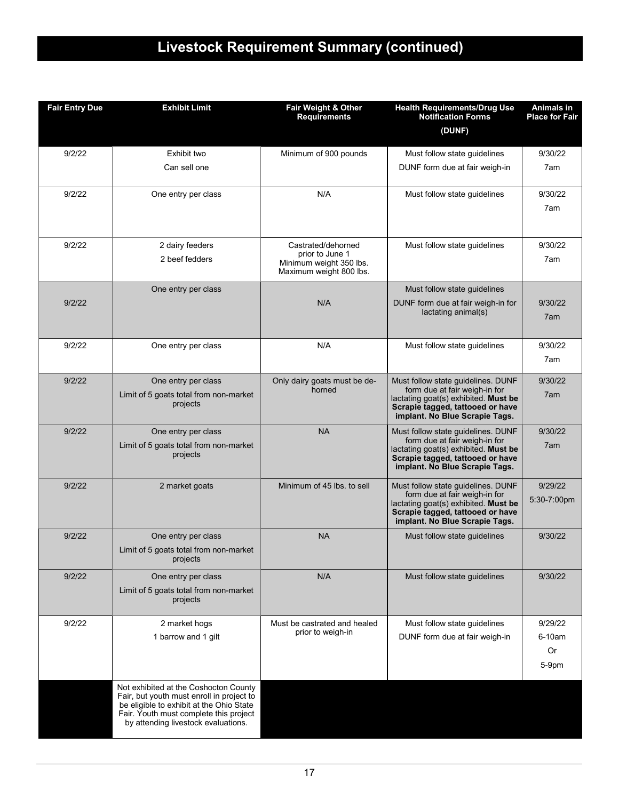# **Livestock Requirement Summary (continued)**

| <b>Fair Entry Due</b> | <b>Exhibit Limit</b>                                                                                                                                                                                            | Fair Weight & Other<br><b>Requirements</b>                                                  | <b>Health Requirements/Drug Use</b><br><b>Notification Forms</b><br>(DUNF)                                                                                                        | <b>Animals in</b><br><b>Place for Fair</b> |
|-----------------------|-----------------------------------------------------------------------------------------------------------------------------------------------------------------------------------------------------------------|---------------------------------------------------------------------------------------------|-----------------------------------------------------------------------------------------------------------------------------------------------------------------------------------|--------------------------------------------|
| 9/2/22                | Exhibit two                                                                                                                                                                                                     | Minimum of 900 pounds                                                                       | Must follow state guidelines                                                                                                                                                      | 9/30/22                                    |
|                       | Can sell one                                                                                                                                                                                                    |                                                                                             | DUNF form due at fair weigh-in                                                                                                                                                    | 7am                                        |
| 9/2/22                | One entry per class                                                                                                                                                                                             | N/A                                                                                         | Must follow state guidelines                                                                                                                                                      | 9/30/22<br>7am                             |
| 9/2/22                | 2 dairy feeders<br>2 beef fedders                                                                                                                                                                               | Castrated/dehorned<br>prior to June 1<br>Minimum weight 350 lbs.<br>Maximum weight 800 lbs. | Must follow state guidelines                                                                                                                                                      | 9/30/22<br>7am                             |
| 9/2/22                | One entry per class                                                                                                                                                                                             | N/A                                                                                         | Must follow state guidelines<br>DUNF form due at fair weigh-in for<br>lactating animal(s)                                                                                         | 9/30/22<br>7am                             |
| 9/2/22                | One entry per class                                                                                                                                                                                             | N/A                                                                                         | Must follow state guidelines                                                                                                                                                      | 9/30/22<br>7am                             |
| 9/2/22                | One entry per class<br>Limit of 5 goats total from non-market<br>projects                                                                                                                                       | Only dairy goats must be de-<br>horned                                                      | Must follow state guidelines. DUNF<br>form due at fair weigh-in for<br>lactating goat(s) exhibited. Must be<br>Scrapie tagged, tattooed or have<br>implant. No Blue Scrapie Tags. | 9/30/22<br>7am                             |
| 9/2/22                | One entry per class<br>Limit of 5 goats total from non-market<br>projects                                                                                                                                       | <b>NA</b>                                                                                   | Must follow state guidelines. DUNF<br>form due at fair weigh-in for<br>lactating goat(s) exhibited. Must be<br>Scrapie tagged, tattooed or have<br>implant. No Blue Scrapie Tags. | 9/30/22<br>7am                             |
| 9/2/22                | 2 market goats                                                                                                                                                                                                  | Minimum of 45 lbs. to sell                                                                  | Must follow state guidelines. DUNF<br>form due at fair weigh-in for<br>lactating goat(s) exhibited. Must be<br>Scrapie tagged, tattooed or have<br>implant. No Blue Scrapie Tags. | 9/29/22<br>5:30-7:00pm                     |
| 9/2/22                | One entry per class<br>Limit of 5 goats total from non-market<br>projects                                                                                                                                       | <b>NA</b>                                                                                   | Must follow state guidelines                                                                                                                                                      | 9/30/22                                    |
| 9/2/22                | One entry per class<br>Limit of 5 goats total from non-market<br>projects                                                                                                                                       | N/A                                                                                         | Must follow state guidelines                                                                                                                                                      | 9/30/22                                    |
| 9/2/22                | 2 market hogs<br>1 barrow and 1 gilt                                                                                                                                                                            | Must be castrated and healed<br>prior to weigh-in                                           | Must follow state guidelines<br>DUNF form due at fair weigh-in                                                                                                                    | 9/29/22<br>6-10am<br><b>Or</b><br>5-9pm    |
|                       | Not exhibited at the Coshocton County<br>Fair, but youth must enroll in project to<br>be eligible to exhibit at the Ohio State<br>Fair. Youth must complete this project<br>by attending livestock evaluations. |                                                                                             |                                                                                                                                                                                   |                                            |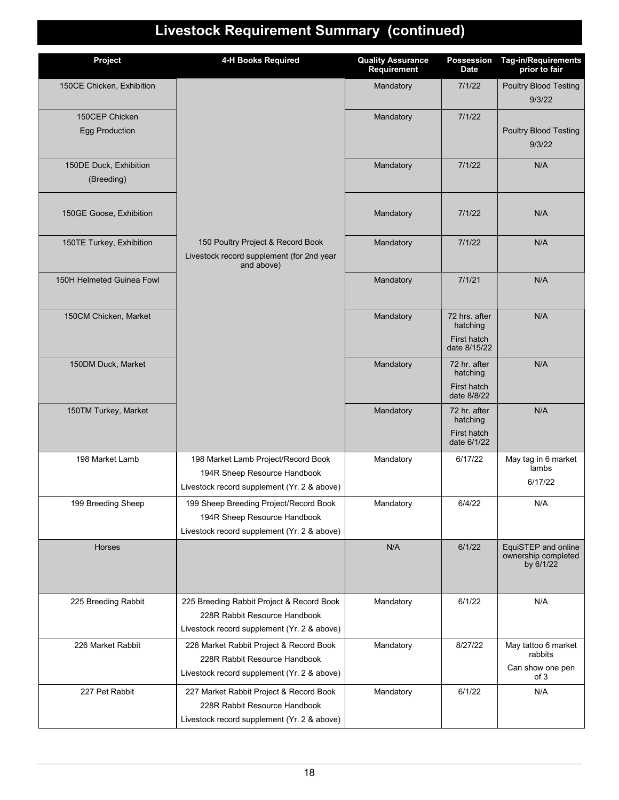# **Livestock Requirement Summary (continued)**

| Project                                 | 4-H Books Required                                                                                                        | <b>Quality Assurance</b><br>Requirement | <b>Possession</b><br><b>Date</b>                         | Tag-in/Requirements<br>prior to fair                       |
|-----------------------------------------|---------------------------------------------------------------------------------------------------------------------------|-----------------------------------------|----------------------------------------------------------|------------------------------------------------------------|
| 150CE Chicken, Exhibition               |                                                                                                                           | Mandatory                               | 7/1/22                                                   | <b>Poultry Blood Testing</b><br>9/3/22                     |
| 150CEP Chicken<br><b>Egg Production</b> |                                                                                                                           | Mandatory                               | 7/1/22                                                   | <b>Poultry Blood Testing</b><br>9/3/22                     |
| 150DE Duck, Exhibition<br>(Breeding)    |                                                                                                                           | Mandatory                               | 7/1/22                                                   | N/A                                                        |
| 150GE Goose, Exhibition                 |                                                                                                                           | Mandatory                               | 7/1/22                                                   | N/A                                                        |
| 150TE Turkey, Exhibition                | 150 Poultry Project & Record Book<br>Livestock record supplement (for 2nd year<br>and above)                              | Mandatory                               | 7/1/22                                                   | N/A                                                        |
| 150H Helmeted Guinea Fowl               |                                                                                                                           | Mandatory                               | 7/1/21                                                   | N/A                                                        |
| 150CM Chicken, Market                   |                                                                                                                           | Mandatory                               | 72 hrs. after<br>hatching<br>First hatch<br>date 8/15/22 | N/A                                                        |
| 150DM Duck, Market                      |                                                                                                                           | Mandatory                               | 72 hr. after<br>hatching<br>First hatch<br>date 8/8/22   | N/A                                                        |
| 150TM Turkey, Market                    |                                                                                                                           | Mandatory                               | 72 hr. after<br>hatching<br>First hatch<br>date 6/1/22   | N/A                                                        |
| 198 Market Lamb                         | 198 Market Lamb Project/Record Book<br>194R Sheep Resource Handbook<br>Livestock record supplement (Yr. 2 & above)        | Mandatory                               | 6/17/22                                                  | May tag in 6 market<br>lambs<br>6/17/22                    |
| 199 Breeding Sheep                      | 199 Sheep Breeding Project/Record Book<br>194R Sheep Resource Handbook<br>Livestock record supplement (Yr. 2 & above)     | Mandatory                               | 6/4/22                                                   | N/A                                                        |
| <b>Horses</b>                           |                                                                                                                           | N/A                                     | 6/1/22                                                   | EquiSTEP and online<br>ownership completed<br>by 6/1/22    |
| 225 Breeding Rabbit                     | 225 Breeding Rabbit Project & Record Book<br>228R Rabbit Resource Handbook<br>Livestock record supplement (Yr. 2 & above) | Mandatory                               | 6/1/22                                                   | N/A                                                        |
| 226 Market Rabbit                       | 226 Market Rabbit Project & Record Book<br>228R Rabbit Resource Handbook<br>Livestock record supplement (Yr. 2 & above)   | Mandatory                               | 8/27/22                                                  | May tattoo 6 market<br>rabbits<br>Can show one pen<br>of 3 |
| 227 Pet Rabbit                          | 227 Market Rabbit Project & Record Book<br>228R Rabbit Resource Handbook<br>Livestock record supplement (Yr. 2 & above)   | Mandatory                               | 6/1/22                                                   | N/A                                                        |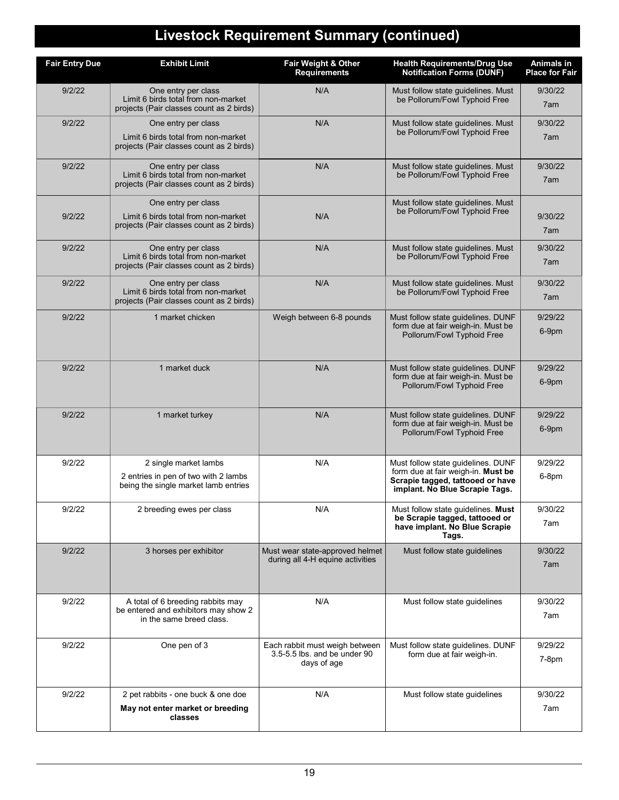# **Livestock Requirement Summary (continued)**

| <b>Fair Entry Due</b> | <b>Exhibit Limit</b>                                                                                   | Fair Weight & Other<br><b>Requirements</b>                          | <b>Health Requirements/Drug Use</b><br><b>Notification Forms (DUNF)</b>                                        | Animals in<br><b>Place for Fair</b> |
|-----------------------|--------------------------------------------------------------------------------------------------------|---------------------------------------------------------------------|----------------------------------------------------------------------------------------------------------------|-------------------------------------|
| 9/2/22                | One entry per class<br>Limit 6 birds total from non-market<br>projects (Pair classes count as 2 birds) | N/A                                                                 | Must follow state guidelines. Must<br>be Pollorum/Fowl Typhoid Free                                            | 9/30/22<br>7am                      |
| 9/2/22                | One entry per class                                                                                    | N/A                                                                 | Must follow state quidelines. Must                                                                             | 9/30/22                             |
|                       | Limit 6 birds total from non-market<br>projects (Pair classes count as 2 birds)                        |                                                                     | be Pollorum/Fowl Typhoid Free                                                                                  | 7am                                 |
| 9/2/22                | One entry per class<br>Limit 6 birds total from non-market<br>projects (Pair classes count as 2 birds) | N/A                                                                 | Must follow state guidelines. Must<br>be Pollorum/Fowl Typhoid Free                                            | 9/30/22<br>7am                      |
| 9/2/22                | One entry per class<br>Limit 6 birds total from non-market<br>projects (Pair classes count as 2 birds) | N/A                                                                 | Must follow state guidelines. Must<br>be Pollorum/Fowl Typhoid Free                                            | 9/30/22<br>7am                      |
| 9/2/22                | One entry per class<br>Limit 6 birds total from non-market<br>projects (Pair classes count as 2 birds) | N/A                                                                 | Must follow state guidelines. Must<br>be Pollorum/Fowl Typhoid Free                                            | 9/30/22<br>7am                      |
| 9/2/22                | One entry per class<br>Limit 6 birds total from non-market<br>projects (Pair classes count as 2 birds) | N/A                                                                 | Must follow state guidelines. Must<br>be Pollorum/Fowl Typhoid Free                                            | 9/30/22<br>7am                      |
| 9/2/22                | 1 market chicken                                                                                       | Weigh between 6-8 pounds                                            | Must follow state guidelines. DUNF<br>form due at fair weigh-in. Must be<br>Pollorum/Fowl Typhoid Free         | 9/29/22<br>6-9pm                    |
| 9/2/22                | 1 market duck                                                                                          | N/A                                                                 | Must follow state guidelines. DUNF<br>form due at fair weigh-in. Must be<br>Pollorum/Fowl Typhoid Free         | 9/29/22<br>6-9pm                    |
| 9/2/22                | 1 market turkey                                                                                        | N/A                                                                 | Must follow state guidelines. DUNF<br>form due at fair weigh-in. Must be<br>Pollorum/Fowl Typhoid Free         | 9/29/22<br>6-9pm                    |
| 9/2/22                | 2 single market lambs                                                                                  | N/A                                                                 | Must follow state guidelines. DUNF                                                                             | 9/29/22                             |
|                       | 2 entries in pen of two with 2 lambs<br>being the single market lamb entries                           |                                                                     | form due at fair weigh-in. Must be<br>Scrapie tagged, tattooed or have<br>implant. No Blue Scrapie Tags.       | 6-8pm                               |
| 9/2/22                | 2 breeding ewes per class                                                                              | N/A                                                                 | Must follow state guidelines. Must<br>be Scrapie tagged, tattooed or<br>have implant. No Blue Scrapie<br>Tags. | 9/30/22<br>7am                      |
| 9/2/22                | 3 horses per exhibitor                                                                                 | Must wear state-approved helmet<br>during all 4-H equine activities | Must follow state guidelines                                                                                   | 9/30/22<br>7am                      |
| 9/2/22                | A total of 6 breeding rabbits may<br>be entered and exhibitors may show 2                              | N/A                                                                 | Must follow state guidelines                                                                                   | 9/30/22                             |
|                       | in the same breed class.                                                                               |                                                                     |                                                                                                                | 7am                                 |
| 9/2/22                | One pen of 3                                                                                           | Each rabbit must weigh between<br>3.5-5.5 lbs, and be under 90      | Must follow state guidelines. DUNF<br>form due at fair weigh-in.                                               | 9/29/22                             |
|                       |                                                                                                        | days of age                                                         |                                                                                                                | $7-8pm$                             |
| 9/2/22                | 2 pet rabbits - one buck & one doe                                                                     | N/A                                                                 | Must follow state guidelines                                                                                   | 9/30/22                             |
|                       | May not enter market or breeding<br>classes                                                            |                                                                     |                                                                                                                | 7am                                 |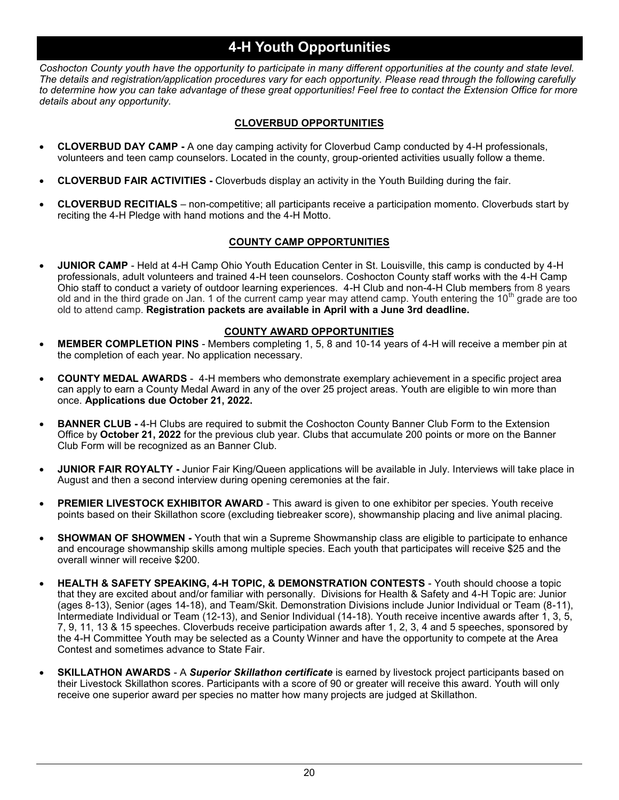### **4-H Youth Opportunities**

*Coshocton County youth have the opportunity to participate in many different opportunities at the county and state level. The details and registration/application procedures vary for each opportunity. Please read through the following carefully to determine how you can take advantage of these great opportunities! Feel free to contact the Extension Office for more details about any opportunity.*

#### **CLOVERBUD OPPORTUNITIES**

- **CLOVERBUD DAY CAMP -** A one day camping activity for Cloverbud Camp conducted by 4-H professionals, volunteers and teen camp counselors. Located in the county, group-oriented activities usually follow a theme.
- **CLOVERBUD FAIR ACTIVITIES -** Cloverbuds display an activity in the Youth Building during the fair.
- **CLOVERBUD RECITIALS**  non-competitive; all participants receive a participation momento. Cloverbuds start by reciting the 4-H Pledge with hand motions and the 4-H Motto.

#### **COUNTY CAMP OPPORTUNITIES**

• **JUNIOR CAMP** - Held at 4-H Camp Ohio Youth Education Center in St. Louisville, this camp is conducted by 4-H professionals, adult volunteers and trained 4-H teen counselors. Coshocton County staff works with the 4-H Camp Ohio staff to conduct a variety of outdoor learning experiences. 4-H Club and non-4-H Club members from 8 years old and in the third grade on Jan. 1 of the current camp year may attend camp. Youth entering the 10<sup>th</sup> grade are too old to attend camp. **Registration packets are available in April with a June 3rd deadline.** 

#### **COUNTY AWARD OPPORTUNITIES**

- **MEMBER COMPLETION PINS**  Members completing 1, 5, 8 and 10-14 years of 4-H will receive a member pin at the completion of each year. No application necessary.
- **COUNTY MEDAL AWARDS**  4-H members who demonstrate exemplary achievement in a specific project area can apply to earn a County Medal Award in any of the over 25 project areas. Youth are eligible to win more than once. **Applications due October 21, 2022.**
- **BANNER CLUB -** 4-H Clubs are required to submit the Coshocton County Banner Club Form to the Extension Office by **October 21, 2022** for the previous club year. Clubs that accumulate 200 points or more on the Banner Club Form will be recognized as an Banner Club.
- **JUNIOR FAIR ROYALTY -** Junior Fair King/Queen applications will be available in July. Interviews will take place in August and then a second interview during opening ceremonies at the fair.
- **PREMIER LIVESTOCK EXHIBITOR AWARD**  This award is given to one exhibitor per species. Youth receive points based on their Skillathon score (excluding tiebreaker score), showmanship placing and live animal placing.
- **SHOWMAN OF SHOWMEN -** Youth that win a Supreme Showmanship class are eligible to participate to enhance and encourage showmanship skills among multiple species. Each youth that participates will receive \$25 and the overall winner will receive \$200.
- **HEALTH & SAFETY SPEAKING, 4-H TOPIC, & DEMONSTRATION CONTESTS**  Youth should choose a topic that they are excited about and/or familiar with personally. Divisions for Health & Safety and 4-H Topic are: Junior (ages 8-13), Senior (ages 14-18), and Team/Skit. Demonstration Divisions include Junior Individual or Team (8-11), Intermediate Individual or Team (12-13), and Senior Individual (14-18). Youth receive incentive awards after 1, 3, 5, 7, 9, 11, 13 & 15 speeches. Cloverbuds receive participation awards after 1, 2, 3, 4 and 5 speeches, sponsored by the 4-H Committee Youth may be selected as a County Winner and have the opportunity to compete at the Area Contest and sometimes advance to State Fair.
- **SKILLATHON AWARDS**  A *Superior Skillathon certificate* is earned by livestock project participants based on their Livestock Skillathon scores. Participants with a score of 90 or greater will receive this award. Youth will only receive one superior award per species no matter how many projects are judged at Skillathon.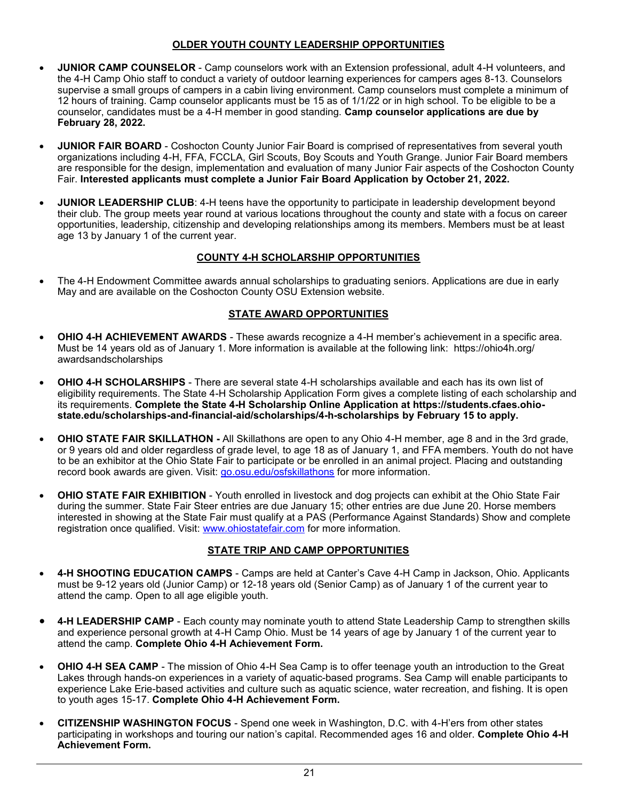#### **OLDER YOUTH COUNTY LEADERSHIP OPPORTUNITIES**

- **JUNIOR CAMP COUNSELOR**  Camp counselors work with an Extension professional, adult 4-H volunteers, and the 4-H Camp Ohio staff to conduct a variety of outdoor learning experiences for campers ages 8-13. Counselors supervise a small groups of campers in a cabin living environment. Camp counselors must complete a minimum of 12 hours of training. Camp counselor applicants must be 15 as of 1/1/22 or in high school. To be eligible to be a counselor, candidates must be a 4-H member in good standing. **Camp counselor applications are due by February 28, 2022.**
- **JUNIOR FAIR BOARD**  Coshocton County Junior Fair Board is comprised of representatives from several youth organizations including 4-H, FFA, FCCLA, Girl Scouts, Boy Scouts and Youth Grange. Junior Fair Board members are responsible for the design, implementation and evaluation of many Junior Fair aspects of the Coshocton County Fair. **Interested applicants must complete a Junior Fair Board Application by October 21, 2022.**
- **JUNIOR LEADERSHIP CLUB**: 4-H teens have the opportunity to participate in leadership development beyond their club. The group meets year round at various locations throughout the county and state with a focus on career opportunities, leadership, citizenship and developing relationships among its members. Members must be at least age 13 by January 1 of the current year.

#### **COUNTY 4-H SCHOLARSHIP OPPORTUNITIES**

• The 4-H Endowment Committee awards annual scholarships to graduating seniors. Applications are due in early May and are available on the Coshocton County OSU Extension website.

#### **STATE AWARD OPPORTUNITIES**

- **OHIO 4-H ACHIEVEMENT AWARDS**  These awards recognize a 4-H member's achievement in a specific area. Must be 14 years old as of January 1. More information is available at the following link: https://ohio4h.org/ awardsandscholarships
- **OHIO 4-H SCHOLARSHIPS**  There are several state 4-H scholarships available and each has its own list of eligibility requirements. The State 4-H Scholarship Application Form gives a complete listing of each scholarship and its requirements. **Complete the State 4-H Scholarship Online Application at https://students.cfaes.ohiostate.edu/scholarships-and-financial-aid/scholarships/4-h-scholarships by February 15 to apply.**
- **OHIO STATE FAIR SKILLATHON -** All Skillathons are open to any Ohio 4-H member, age 8 and in the 3rd grade, or 9 years old and older regardless of grade level, to age 18 as of January 1, and FFA members. Youth do not have to be an exhibitor at the Ohio State Fair to participate or be enrolled in an animal project. Placing and outstanding record book awards are given. Visit: [go.osu.edu/osfskillathons](https://ohio4h.org/statewide-programs/animal-sciences/ohio-state-fair-skillathon-information) for more information.
- **OHIO STATE FAIR EXHIBITION**  Youth enrolled in livestock and dog projects can exhibit at the Ohio State Fair during the summer. State Fair Steer entries are due January 15; other entries are due June 20. Horse members interested in showing at the State Fair must qualify at a PAS (Performance Against Standards) Show and complete registration once qualified. Visit: [www.ohiostatefair.com](https://ohiostatefair.com/) for more information.

#### **STATE TRIP AND CAMP OPPORTUNITIES**

- **4-H SHOOTING EDUCATION CAMPS**  Camps are held at Canter's Cave 4-H Camp in Jackson, Ohio. Applicants must be 9-12 years old (Junior Camp) or 12-18 years old (Senior Camp) as of January 1 of the current year to attend the camp. Open to all age eligible youth.
- **4-H LEADERSHIP CAMP**  Each county may nominate youth to attend State Leadership Camp to strengthen skills and experience personal growth at 4-H Camp Ohio. Must be 14 years of age by January 1 of the current year to attend the camp. **Complete Ohio 4-H Achievement Form.**
- **OHIO 4-H SEA CAMP**  The mission of Ohio 4-H Sea Camp is to offer teenage youth an introduction to the Great Lakes through hands-on experiences in a variety of aquatic-based programs. Sea Camp will enable participants to experience Lake Erie-based activities and culture such as aquatic science, water recreation, and fishing. It is open to youth ages 15-17. **Complete Ohio 4-H Achievement Form.**
- **CITIZENSHIP WASHINGTON FOCUS**  Spend one week in Washington, D.C. with 4-H'ers from other states participating in workshops and touring our nation's capital. Recommended ages 16 and older. **Complete Ohio 4-H Achievement Form.**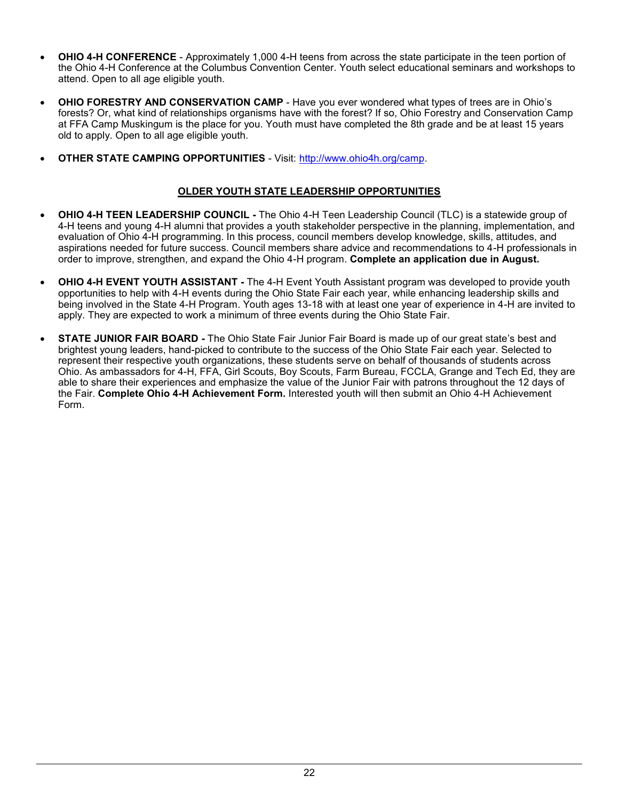- **OHIO 4-H CONFERENCE**  Approximately 1,000 4-H teens from across the state participate in the teen portion of the Ohio 4-H Conference at the Columbus Convention Center. Youth select educational seminars and workshops to attend. Open to all age eligible youth.
- **OHIO FORESTRY AND CONSERVATION CAMP**  Have you ever wondered what types of trees are in Ohio's forests? Or, what kind of relationships organisms have with the forest? If so, Ohio Forestry and Conservation Camp at FFA Camp Muskingum is the place for you. Youth must have completed the 8th grade and be at least 15 years old to apply. Open to all age eligible youth.
- **OTHER STATE CAMPING OPPORTUNITIES**  Visit: [http://www.ohio4h.org/camp.](http://www.ohio4h.org/camp)

#### **OLDER YOUTH STATE LEADERSHIP OPPORTUNITIES**

- **OHIO 4-H TEEN LEADERSHIP COUNCIL -** The Ohio 4-H Teen Leadership Council (TLC) is a statewide group of 4-H teens and young 4-H alumni that provides a youth stakeholder perspective in the planning, implementation, and evaluation of Ohio 4-H programming. In this process, council members develop knowledge, skills, attitudes, and aspirations needed for future success. Council members share advice and recommendations to 4-H professionals in order to improve, strengthen, and expand the Ohio 4-H program. **Complete an application due in August.**
- **OHIO 4-H EVENT YOUTH ASSISTANT -** The 4-H Event Youth Assistant program was developed to provide youth opportunities to help with 4-H events during the Ohio State Fair each year, while enhancing leadership skills and being involved in the State 4-H Program. Youth ages 13-18 with at least one year of experience in 4-H are invited to apply. They are expected to work a minimum of three events during the Ohio State Fair.
- **STATE JUNIOR FAIR BOARD -** The Ohio State Fair Junior Fair Board is made up of our great state's best and brightest young leaders, hand-picked to contribute to the success of the Ohio State Fair each year. Selected to represent their respective youth organizations, these students serve on behalf of thousands of students across Ohio. As ambassadors for 4-H, FFA, Girl Scouts, Boy Scouts, Farm Bureau, FCCLA, Grange and Tech Ed, they are able to share their experiences and emphasize the value of the Junior Fair with patrons throughout the 12 days of the Fair. **Complete Ohio 4-H Achievement Form.** Interested youth will then submit an Ohio 4-H Achievement Form.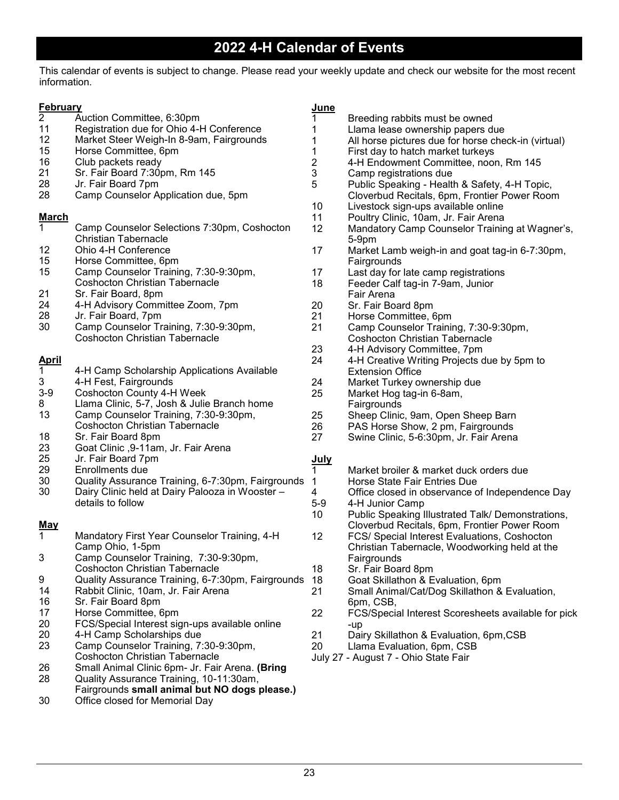This calendar of events is subject to change. Please read your weekly update and check our website for the most recent information.

| <b>February</b> |                                                   | <b>June</b> |                                                     |
|-----------------|---------------------------------------------------|-------------|-----------------------------------------------------|
| $\overline{2}$  | Auction Committee, 6:30pm                         | 1           | Breeding rabbits must be owned                      |
| 11              | Registration due for Ohio 4-H Conference          |             | Llama lease ownership papers due                    |
| 12              | Market Steer Weigh-In 8-9am, Fairgrounds          | 1           | All horse pictures due for horse check-in (virtual) |
| 15              | Horse Committee, 6pm                              | 1           | First day to hatch market turkeys                   |
| 16              | Club packets ready                                | 2           | 4-H Endowment Committee, noon, Rm 145               |
| 21              | Sr. Fair Board 7:30pm, Rm 145                     | 3           | Camp registrations due                              |
| 28              | Jr. Fair Board 7pm                                | 5           | Public Speaking - Health & Safety, 4-H Topic,       |
| 28              | Camp Counselor Application due, 5pm               |             | Cloverbud Recitals, 6pm, Frontier Power Room        |
|                 |                                                   | 10          | Livestock sign-ups available online                 |
| <b>March</b>    |                                                   | 11          | Poultry Clinic, 10am, Jr. Fair Arena                |
| 1               | Camp Counselor Selections 7:30pm, Coshocton       | 12          |                                                     |
|                 | <b>Christian Tabernacle</b>                       |             | Mandatory Camp Counselor Training at Wagner's,      |
|                 | Ohio 4-H Conference                               |             | 5-9pm                                               |
| 12              |                                                   | 17          | Market Lamb weigh-in and goat tag-in 6-7:30pm,      |
| 15              | Horse Committee, 6pm                              |             | Fairgrounds                                         |
| 15              | Camp Counselor Training, 7:30-9:30pm,             | 17          | Last day for late camp registrations                |
|                 | <b>Coshocton Christian Tabernacle</b>             | 18          | Feeder Calf tag-in 7-9am, Junior                    |
| 21              | Sr. Fair Board, 8pm                               |             | Fair Arena                                          |
| 24              | 4-H Advisory Committee Zoom, 7pm                  | 20          | Sr. Fair Board 8pm                                  |
| 28              | Jr. Fair Board, 7pm                               | 21          | Horse Committee, 6pm                                |
| 30              | Camp Counselor Training, 7:30-9:30pm,             | 21          | Camp Counselor Training, 7:30-9:30pm,               |
|                 | <b>Coshocton Christian Tabernacle</b>             |             | <b>Coshocton Christian Tabernacle</b>               |
|                 |                                                   | 23          | 4-H Advisory Committee, 7pm                         |
| <u>April</u>    |                                                   | 24          | 4-H Creative Writing Projects due by 5pm to         |
| 1               | 4-H Camp Scholarship Applications Available       |             | <b>Extension Office</b>                             |
| 3               | 4-H Fest, Fairgrounds                             | 24          | Market Turkey ownership due                         |
| $3-9$           | <b>Coshocton County 4-H Week</b>                  | 25          | Market Hog tag-in 6-8am,                            |
| 8               | Llama Clinic, 5-7, Josh & Julie Branch home       |             | Fairgrounds                                         |
| 13              | Camp Counselor Training, 7:30-9:30pm,             | 25          | Sheep Clinic, 9am, Open Sheep Barn                  |
|                 | <b>Coshocton Christian Tabernacle</b>             | 26          | PAS Horse Show, 2 pm, Fairgrounds                   |
| 18              | Sr. Fair Board 8pm                                | 27          | Swine Clinic, 5-6:30pm, Jr. Fair Arena              |
| 23              | Goat Clinic , 9-11am, Jr. Fair Arena              |             |                                                     |
| 25              | Jr. Fair Board 7pm                                | <u>July</u> |                                                     |
| 29              | Enrollments due                                   | 1           | Market broiler & market duck orders due             |
| 30              | Quality Assurance Training, 6-7:30pm, Fairgrounds | 1           | Horse State Fair Entries Due                        |
| 30              | Dairy Clinic held at Dairy Palooza in Wooster -   | 4           | Office closed in observance of Independence Day     |
|                 | details to follow                                 | $5-9$       | 4-H Junior Camp                                     |
|                 |                                                   | 10          | Public Speaking Illustrated Talk/ Demonstrations,   |
| <u>May</u>      |                                                   |             | Cloverbud Recitals, 6pm, Frontier Power Room        |
| 1               | Mandatory First Year Counselor Training, 4-H      | 12          | FCS/ Special Interest Evaluations, Coshocton        |
|                 | Camp Ohio, 1-5pm                                  |             | Christian Tabernacle, Woodworking held at the       |
| 3               | Camp Counselor Training, 7:30-9:30pm,             |             | Fairgrounds                                         |
|                 | <b>Coshocton Christian Tabernacle</b>             | 18          | Sr. Fair Board 8pm                                  |
| 9               | Quality Assurance Training, 6-7:30pm, Fairgrounds | 18          | Goat Skillathon & Evaluation, 6pm                   |
| 14              | Rabbit Clinic, 10am, Jr. Fair Arena               | 21          | Small Animal/Cat/Dog Skillathon & Evaluation,       |
| 16              | Sr. Fair Board 8pm                                |             | 6pm, CSB,                                           |
| 17              | Horse Committee, 6pm                              | 22          | FCS/Special Interest Scoresheets available for pick |
| 20              | FCS/Special Interest sign-ups available online    |             | -up                                                 |
| 20              | 4-H Camp Scholarships due                         | 21          | Dairy Skillathon & Evaluation, 6pm, CSB             |
| 23              | Camp Counselor Training, 7:30-9:30pm,             | 20          | Llama Evaluation, 6pm, CSB                          |
|                 | <b>Coshocton Christian Tabernacle</b>             |             | July 27 - August 7 - Ohio State Fair                |
| 26              | Small Animal Clinic 6pm- Jr. Fair Arena. (Bring   |             |                                                     |
| 28              | Quality Assurance Training, 10-11:30am,           |             |                                                     |
|                 | Fairgrounds small animal but NO dogs please.)     |             |                                                     |
| 30              | Office closed for Memorial Day                    |             |                                                     |